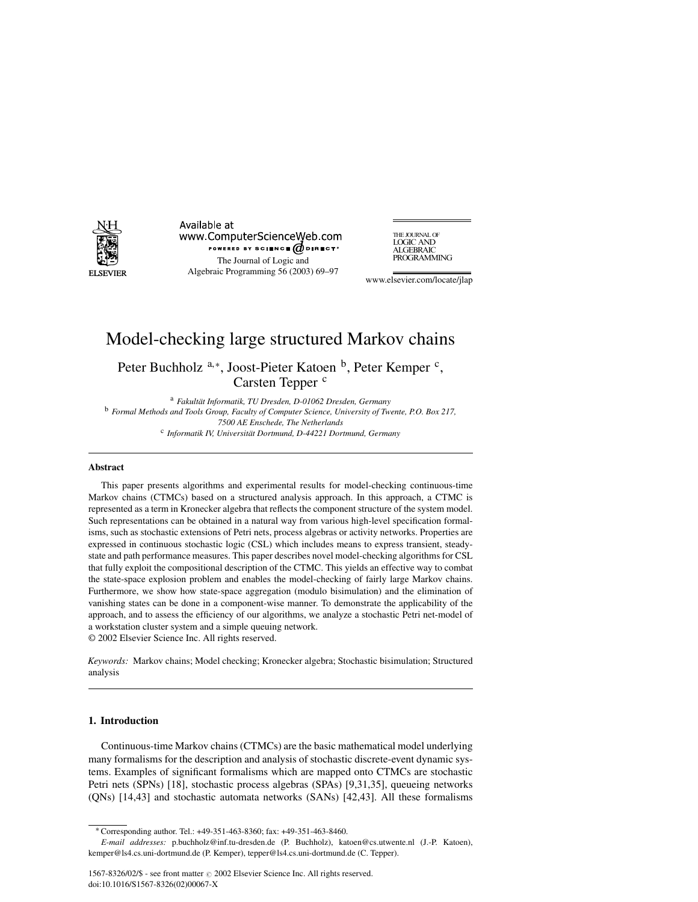

Available at www.ComputerScienceWeb.com POWERED BY SCIENCE @DIRECT® The Journal of Logic and Algebraic Programming 56 (2003) 69–97

THE JOURNAL OF **LOGIC AND<br>ALGEBRAIC** PROGRAMMING

www.elsevier.com/locate/jlap

# Model-checking large structured Markov chains

Peter Buchholz<sup>a,\*</sup>, Joost-Pieter Katoen <sup>b</sup>, Peter Kemper <sup>c</sup>, Carsten Tepper<sup>c</sup>

<sup>a</sup> *Fakultät Informatik, TU Dresden, D-01062 Dresden, Germany* <sup>b</sup> *Formal Methods and Tools Group, Faculty of Computer Science, University of Twente, P.O. Box 217, 7500 AE Enschede, The Netherlands* c *Informatik IV, Universität Dortmund, D-44221 Dortmund, Germany*

## **Abstract**

This paper presents algorithms and experimental results for model-checking continuous-time Markov chains (CTMCs) based on a structured analysis approach. In this approach, a CTMC is represented as a term in Kronecker algebra that reflects the component structure of the system model. Such representations can be obtained in a natural way from various high-level specification formalisms, such as stochastic extensions of Petri nets, process algebras or activity networks. Properties are expressed in continuous stochastic logic (CSL) which includes means to express transient, steadystate and path performance measures. This paper describes novel model-checking algorithms for CSL that fully exploit the compositional description of the CTMC. This yields an effective way to combat the state-space explosion problem and enables the model-checking of fairly large Markov chains. Furthermore, we show how state-space aggregation (modulo bisimulation) and the elimination of vanishing states can be done in a component-wise manner. To demonstrate the applicability of the approach, and to assess the efficiency of our algorithms, we analyze a stochastic Petri net-model of a workstation cluster system and a simple queuing network.

© 2002 Elsevier Science Inc. All rights reserved.

*Keywords:* Markov chains; Model checking; Kronecker algebra; Stochastic bisimulation; Structured analysis

## **1. Introduction**

Continuous-time Markov chains (CTMCs) are the basic mathematical model underlying many formalisms for the description and analysis of stochastic discrete-event dynamic systems. Examples of significant formalisms which are mapped onto CTMCs are stochastic Petri nets (SPNs) [18], stochastic process algebras (SPAs) [9,31,35], queueing networks (QNs) [14,43] and stochastic automata networks (SANs) [42,43]. All these formalisms

<sup>∗</sup> Corresponding author. Tel.: +49-351-463-8360; fax: +49-351-463-8460.

*E-mail addresses:* p.buchholz@inf.tu-dresden.de (P. Buchholz), katoen@cs.utwente.nl (J.-P. Katoen), kemper@ls4.cs.uni-dortmund.de (P. Kemper), tepper@ls4.cs.uni-dortmund.de (C. Tepper).

<sup>1567-8326/02/\$ -</sup> see front matter 2002 Elsevier Science Inc. All rights reserved. doi:10.1016/S1567-8326(02)00067-X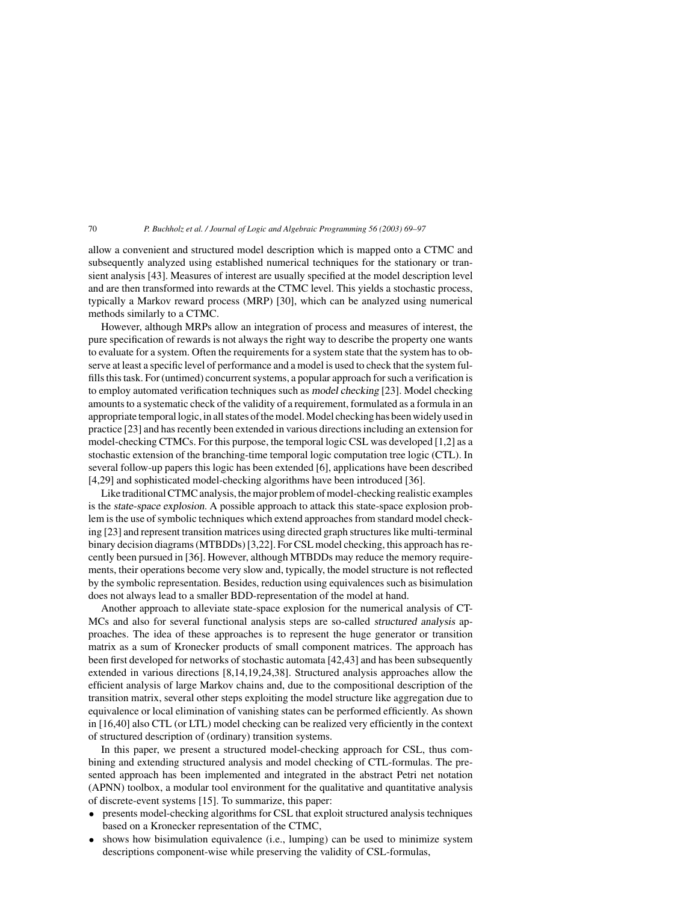allow a convenient and structured model description which is mapped onto a CTMC and subsequently analyzed using established numerical techniques for the stationary or transient analysis [43]. Measures of interest are usually specified at the model description level and are then transformed into rewards at the CTMC level. This yields a stochastic process, typically a Markov reward process (MRP) [30], which can be analyzed using numerical methods similarly to a CTMC.

However, although MRPs allow an integration of process and measures of interest, the pure specification of rewards is not always the right way to describe the property one wants to evaluate for a system. Often the requirements for a system state that the system has to observe at least a specific level of performance and a model is used to check that the system fulfills this task. For (untimed) concurrent systems, a popular approach for such a verification is to employ automated verification techniques such as model checking [23]. Model checking amounts to a systematic check of the validity of a requirement, formulated as a formula in an appropriate temporal logic, in all states of the model. Model checking has been widely used in practice [23] and has recently been extended in various directions including an extension for model-checking CTMCs. For this purpose, the temporal logic CSL was developed [1,2] as a stochastic extension of the branching-time temporal logic computation tree logic (CTL). In several follow-up papers this logic has been extended [6], applications have been described [4,29] and sophisticated model-checking algorithms have been introduced [36].

Like traditional CTMC analysis, the major problem of model-checking realistic examples is the state-space explosion. A possible approach to attack this state-space explosion problem is the use of symbolic techniques which extend approaches from standard model checking [23] and represent transition matrices using directed graph structures like multi-terminal binary decision diagrams (MTBDDs) [3,22]. For CSL model checking, this approach has recently been pursued in [36]. However, although MTBDDs may reduce the memory requirements, their operations become very slow and, typically, the model structure is not reflected by the symbolic representation. Besides, reduction using equivalences such as bisimulation does not always lead to a smaller BDD-representation of the model at hand.

Another approach to alleviate state-space explosion for the numerical analysis of CT-MCs and also for several functional analysis steps are so-called structured analysis approaches. The idea of these approaches is to represent the huge generator or transition matrix as a sum of Kronecker products of small component matrices. The approach has been first developed for networks of stochastic automata [42,43] and has been subsequently extended in various directions [8,14,19,24,38]. Structured analysis approaches allow the efficient analysis of large Markov chains and, due to the compositional description of the transition matrix, several other steps exploiting the model structure like aggregation due to equivalence or local elimination of vanishing states can be performed efficiently. As shown in [16,40] also CTL (or LTL) model checking can be realized very efficiently in the context of structured description of (ordinary) transition systems.

In this paper, we present a structured model-checking approach for CSL, thus combining and extending structured analysis and model checking of CTL-formulas. The presented approach has been implemented and integrated in the abstract Petri net notation (APNN) toolbox, a modular tool environment for the qualitative and quantitative analysis of discrete-event systems [15]. To summarize, this paper:

- presents model-checking algorithms for CSL that exploit structured analysis techniques based on a Kronecker representation of the CTMC,
- shows how bisimulation equivalence (i.e., lumping) can be used to minimize system descriptions component-wise while preserving the validity of CSL-formulas,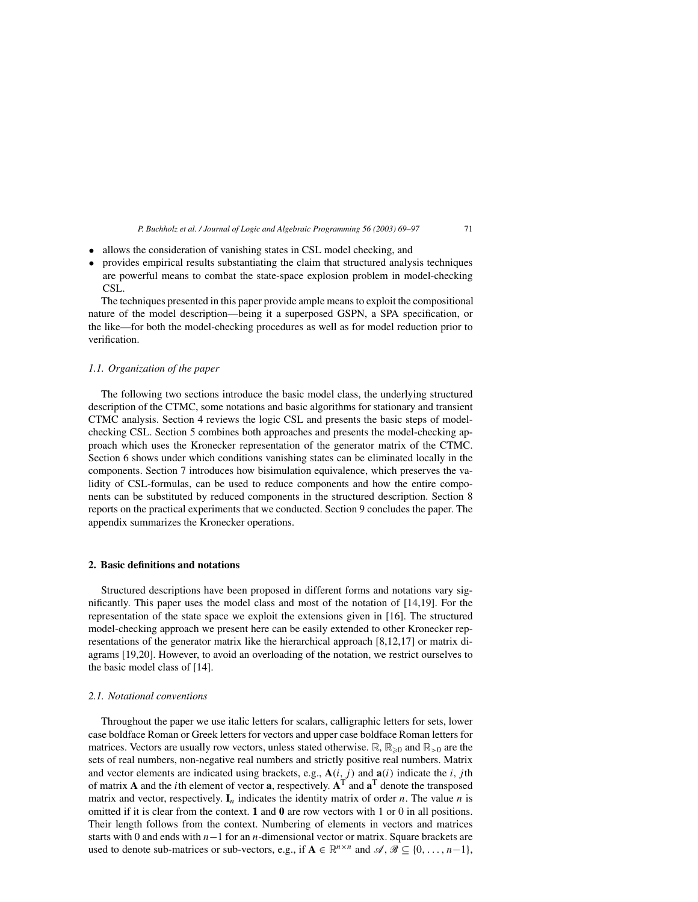- allows the consideration of vanishing states in CSL model checking, and
- provides empirical results substantiating the claim that structured analysis techniques are powerful means to combat the state-space explosion problem in model-checking CSL.

The techniques presented in this paper provide ample means to exploit the compositional nature of the model description—being it a superposed GSPN, a SPA specification, or the like—for both the model-checking procedures as well as for model reduction prior to verification.

## *1.1. Organization of the paper*

The following two sections introduce the basic model class, the underlying structured description of the CTMC, some notations and basic algorithms for stationary and transient CTMC analysis. Section 4 reviews the logic CSL and presents the basic steps of modelchecking CSL. Section 5 combines both approaches and presents the model-checking approach which uses the Kronecker representation of the generator matrix of the CTMC. Section 6 shows under which conditions vanishing states can be eliminated locally in the components. Section 7 introduces how bisimulation equivalence, which preserves the validity of CSL-formulas, can be used to reduce components and how the entire components can be substituted by reduced components in the structured description. Section 8 reports on the practical experiments that we conducted. Section 9 concludes the paper. The appendix summarizes the Kronecker operations.

#### **2. Basic definitions and notations**

Structured descriptions have been proposed in different forms and notations vary significantly. This paper uses the model class and most of the notation of [14,19]. For the representation of the state space we exploit the extensions given in [16]. The structured model-checking approach we present here can be easily extended to other Kronecker representations of the generator matrix like the hierarchical approach [8,12,17] or matrix diagrams [19,20]. However, to avoid an overloading of the notation, we restrict ourselves to the basic model class of [14].

## *2.1. Notational conventions*

Throughout the paper we use italic letters for scalars, calligraphic letters for sets, lower case boldface Roman or Greek letters for vectors and upper case boldface Roman letters for matrices. Vectors are usually row vectors, unless stated otherwise.  $\mathbb{R}, \mathbb{R}_{\geq 0}$  and  $\mathbb{R}_{>0}$  are the sets of real numbers, non-negative real numbers and strictly positive real numbers. Matrix and vector elements are indicated using brackets, e.g.,  $\mathbf{A}(i, j)$  and  $\mathbf{a}(i)$  indicate the i, jth of matrix **A** and the *i*th element of vector **a**, respectively.  $A<sup>T</sup>$  and  $a<sup>T</sup>$  denote the transposed matrix and vector, respectively.  $I_n$  indicates the identity matrix of order *n*. The value *n* is omitted if it is clear from the context. **1** and **0** are row vectors with 1 or 0 in all positions. Their length follows from the context. Numbering of elements in vectors and matrices starts with 0 and ends with n−1 for an n-dimensional vector or matrix. Square brackets are used to denote sub-matrices or sub-vectors, e.g., if  $A \in \mathbb{R}^{n \times n}$  and  $\mathscr{A}, \mathscr{B} \subseteq \{0, \ldots, n-1\}$ ,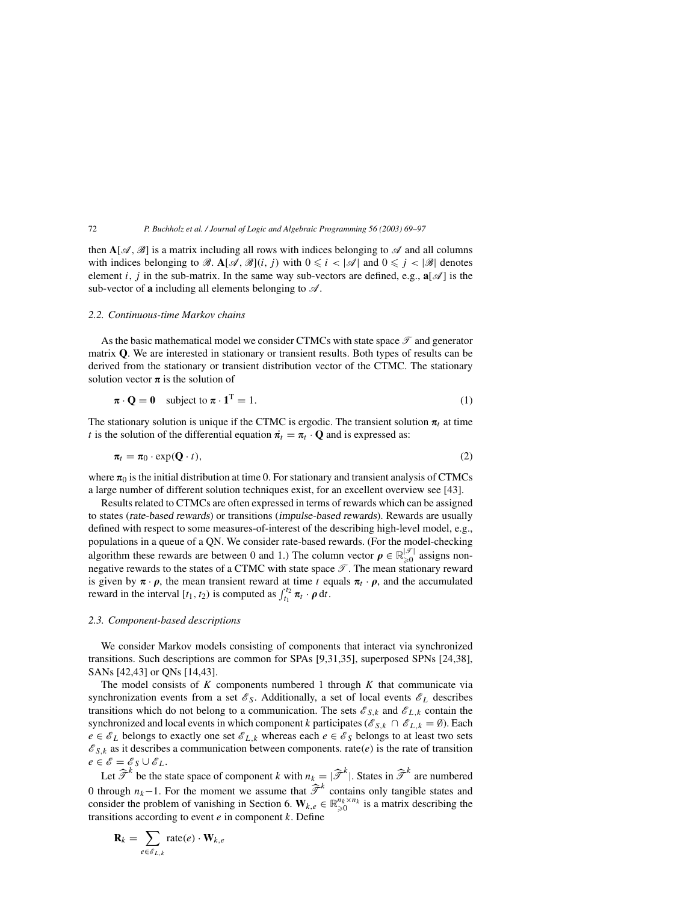then  $A[\mathcal{A}, \mathcal{B}]$  is a matrix including all rows with indices belonging to  $\mathcal A$  and all columns with indices belonging to B.  $\mathbf{A}[\mathcal{A}, \mathcal{B}](i, j)$  with  $0 \leq i < |\mathcal{A}|$  and  $0 \leq j < |\mathcal{B}|$  denotes element i, j in the sub-matrix. In the same way sub-vectors are defined, e.g.,  $\mathbf{a}[\mathcal{A}]$  is the sub-vector of  $\bf{a}$  including all elements belonging to  $\mathcal{A}$ .

#### *2.2. Continuous-time Markov chains*

As the basic mathematical model we consider CTMCs with state space  $\mathcal{T}$  and generator matrix **Q**. We are interested in stationary or transient results. Both types of results can be derived from the stationary or transient distribution vector of the CTMC. The stationary solution vector  $\pi$  is the solution of

$$
\boldsymbol{\pi} \cdot \mathbf{Q} = \mathbf{0} \quad \text{subject to } \boldsymbol{\pi} \cdot \mathbf{1}^{\mathrm{T}} = 1. \tag{1}
$$

The stationary solution is unique if the CTMC is ergodic. The transient solution  $\pi_t$  at time t is the solution of the differential equation  $\vec{\pi}_t = \pi_t \cdot \mathbf{Q}$  and is expressed as:

$$
\pi_t = \pi_0 \cdot \exp(\mathbf{Q} \cdot t), \tag{2}
$$

where  $\pi_0$  is the initial distribution at time 0. For stationary and transient analysis of CTMCs a large number of different solution techniques exist, for an excellent overview see [43].

Results related to CTMCs are often expressed in terms of rewards which can be assigned to states (rate-based rewards) or transitions (impulse-based rewards). Rewards are usually defined with respect to some measures-of-interest of the describing high-level model, e.g., populations in a queue of a QN. We consider rate-based rewards. (For the model-checking algorithm these rewards are between 0 and 1.) The column vector  $\rho \in \mathbb{R}_{\geqslant 0}^{|\mathcal{F}|}$  assigns nonnegative rewards to the states of a CTMC with state space  $\mathcal{T}$ . The mean stationary reward is given by  $\pi \cdot \rho$ , the mean transient reward at time t equals  $\pi_t \cdot \rho$ , and the accumulated reward in the interval [ $t_1, t_2$ ) is computed as  $\int_{t_1}^{t_2} \pi_t \cdot \rho \, dt$ .

#### *2.3. Component-based descriptions*

We consider Markov models consisting of components that interact via synchronized transitions. Such descriptions are common for SPAs [9,31,35], superposed SPNs [24,38], SANs [42,43] or QNs [14,43].

The model consists of  $K$  components numbered 1 through  $K$  that communicate via synchronization events from a set  $\mathscr{E}_S$ . Additionally, a set of local events  $\mathscr{E}_L$  describes transitions which do not belong to a communication. The sets  $\mathcal{E}_{S,k}$  and  $\mathcal{E}_{L,k}$  contain the synchronized and local events in which component k participates ( $\mathscr{E}_{S,k} \cap \mathscr{E}_{L,k} = \emptyset$ ). Each  $e \in \mathscr{E}_L$  belongs to exactly one set  $\mathscr{E}_{L,k}$  whereas each  $e \in \mathscr{E}_S$  belongs to at least two sets  $\mathscr{E}_{S,k}$  as it describes a communication between components. rate(e) is the rate of transition  $e \in \mathscr{E} = \mathscr{E}_S \cup \mathscr{E}_L.$ 

Let  $\widehat{\mathcal{T}}^k$  be the state space of component k with  $n_k = |\widehat{\mathcal{T}}^k|$ . States in  $\widehat{\mathcal{T}}^k$  are numbered 0 through  $n_k-1$ . For the moment we assume that  $\hat{\mathcal{T}}^k$  contains only tangible states and consider the problem of vanishing in Section 6.  $W_{k,e} \in \mathbb{R}_{\geqslant 0}^{n_k \times n_k}$  is a matrix describing the transitions according to event  $e$  in component  $k$ . Define

$$
\mathbf{R}_k = \sum_{e \in \mathscr{E}_{L,k}} \text{rate}(e) \cdot \mathbf{W}_{k,e}
$$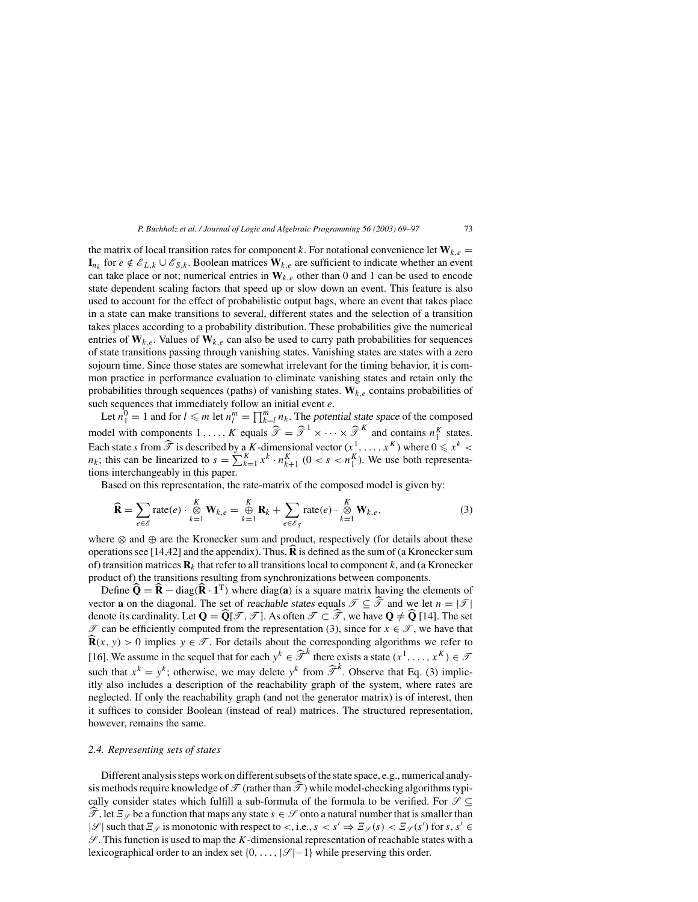the matrix of local transition rates for component k. For notational convenience let  $W_{k,e}$  = **I**<sub>nk</sub> for *e* ∉  $\mathcal{E}_{L,k}$  ∪  $\mathcal{E}_{S,k}$ . Boolean matrices **W**<sub>k,e</sub> are sufficient to indicate whether an event can take place or not; numerical entries in  $W_{k,e}$  other than 0 and 1 can be used to encode state dependent scaling factors that speed up or slow down an event. This feature is also used to account for the effect of probabilistic output bags, where an event that takes place in a state can make transitions to several, different states and the selection of a transition takes places according to a probability distribution. These probabilities give the numerical entries of  $W_{k,e}$ . Values of  $W_{k,e}$  can also be used to carry path probabilities for sequences of state transitions passing through vanishing states. Vanishing states are states with a zero sojourn time. Since those states are somewhat irrelevant for the timing behavior, it is common practice in performance evaluation to eliminate vanishing states and retain only the probabilities through sequences (paths) of vanishing states.  $W_{k,e}$  contains probabilities of such sequences that immediately follow an initial event e.

Let  $n_1^0 = 1$  and for  $l \le m$  let  $n_l^m = \prod_{k=1}^m n_k$ . The potential state space of the composed model with components  $1, \ldots, K$  equals  $\widehat{\mathcal{T}} = \widehat{\mathcal{T}}^1 \times \cdots \times \widehat{\mathcal{T}}^K$  and contains  $n_1^K$  states. Each state s from  $\widehat{\mathcal{T}}$  is described by a K-dimensional vector  $(x^1, \dots, x^K)$  where  $0 \le x^k$  <  $n_k$ ; this can be linearized to  $s = \sum_{k=1}^{K} x^k \cdot n_{k+1}^K$  (0 < s <  $n_1^K$ ). We use both representations interchangeably in this paper.

Based on this representation, the rate-matrix of the composed model is given by:

$$
\widehat{\mathbf{R}} = \sum_{e \in \mathscr{E}} \text{rate}(e) \cdot \underset{k=1}{\overset{K}{\otimes}} \mathbf{W}_{k,e} = \underset{k=1}{\overset{K}{\oplus}} \mathbf{R}_k + \sum_{e \in \mathscr{E}_S} \text{rate}(e) \cdot \underset{k=1}{\overset{K}{\otimes}} \mathbf{W}_{k,e},
$$
\n(3)

where ⊗ and ⊕ are the Kronecker sum and product, respectively (for details about these operations see [14,42] and the appendix). Thus,  $\bf{R}$  is defined as the sum of (a Kronecker sum of) transition matrices  $\mathbf{R}_k$  that refer to all transitions local to component k, and (a Kronecker product of) the transitions resulting from synchronizations between components.

Define  $\widehat{\mathbf{Q}} = \widehat{\mathbf{R}} - \text{diag}(\widehat{\mathbf{R}} \cdot \mathbf{1}^T)$  where diag(a) is a square matrix having the elements of vector **a** on the diagonal. The set of *reachable states* equals  $\mathcal{T} \subseteq \widehat{\mathcal{T}}$  and we let  $n = |\mathcal{T}|$ denote its cardinality. Let  $Q = \widehat{Q}[\mathcal{T}, \mathcal{T}]$ . As often  $\mathcal{T} \subset \widehat{\mathcal{T}}$ , we have  $Q \neq \widehat{Q}$  [14]. The set  $\mathcal T$  can be efficiently computed from the representation (3), since for  $x \in \mathcal T$ , we have that **K**  $\widehat{\mathbf{R}}(x, y) > 0$  implies  $y \in \mathcal{T}$ . For details about the corresponding algorithms we refer to [16]. We assume in the sequel that for each  $y^k \in \hat{\mathcal{T}}^k$  there exists a state  $(x^1, \dots, x^k) \in \mathcal{T}$ such that  $x^k = y^k$ ; otherwise, we may delete  $y^k$  from  $\hat{\mathcal{T}}^k$ . Observe that Eq. (3) implicitly also includes a description of the reachability graph of the system, where rates are neglected. If only the reachability graph (and not the generator matrix) is of interest, then it suffices to consider Boolean (instead of real) matrices. The structured representation, however, remains the same.

#### *2.4. Representing sets of states*

Different analysis steps work on different subsets of the state space, e.g., numerical analysis methods require knowledge of  $\mathscr{T}$  (rather than  $\widehat{\mathscr{T}}$ ) while model-checking algorithms typically consider states which fulfill a sub-formula of the formula to be verified. For  $\mathscr{S} \subseteq$  $\widehat{\mathcal{T}}$ , let  $\mathcal{Z}_{\mathcal{S}}$  be a function that maps any state  $s \in \mathcal{S}$  onto a natural number that is smaller than  $|\mathcal{S}|$  such that  $\mathbb{E}_{\mathcal{S}}$  is monotonic with respect to <, i.e.,  $s < s' \Rightarrow \mathbb{E}_{\mathcal{S}}(s) < \mathbb{E}_{\mathcal{S}}(s')$  for s,  $s' \in$  $\mathscr S$ . This function is used to map the K-dimensional representation of reachable states with a lexicographical order to an index set  $\{0, \ldots, |\mathcal{S}|-1\}$  while preserving this order.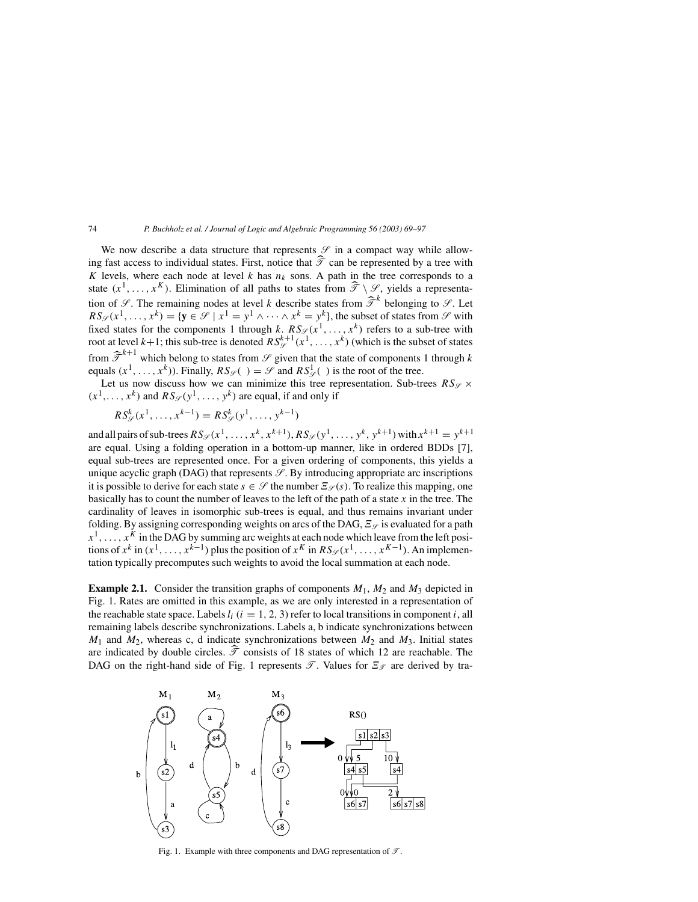We now describe a data structure that represents  $\mathcal S$  in a compact way while allowing fast access to individual states. First, notice that  $\hat{\mathcal{T}}$  can be represented by a tree with K levels, where each node at level k has  $n_k$  sons. A path in the tree corresponds to a state  $(x^1, \ldots, x^K)$ . Elimination of all paths to states from  $\hat{\mathcal{T}} \setminus \mathcal{S}$ , yields a representation of  $\mathscr{S}$ . The remaining nodes at level k describe states from  $\hat{\mathscr{T}}^k$  belonging to  $\mathscr{S}$ . Let  $RS_{\mathscr{S}}(x^1,\ldots,x^k) = \{y \in \mathscr{S} \mid x^1 = y^1 \wedge \cdots \wedge x^k = y^k\}$ , the subset of states from  $\mathscr{S}$  with fixed states for the components 1 through k.  $RS_{\mathscr{S}}(x^1, \ldots, x^k)$  refers to a sub-tree with root at level  $k+1$ ; this sub-tree is denoted  $RS_{\mathscr{S}}^{k+1}(x^1, \ldots, x^k)$  (which is the subset of states from  $\hat{\mathcal{T}}^{k+1}$  which belong to states from  $\mathcal{S}$  given that the state of components 1 through k equals  $(x^1, ..., x^k)$ ). Finally,  $RS_{\mathscr{S}}( ) = \mathscr{S}$  and  $RS_{\mathscr{S}}^1( )$  is the root of the tree.

Let us now discuss how we can minimize this tree representation. Sub-trees  $RS_{\mathscr{S}} \times$  $(x^1, \ldots, x^k)$  and  $RS_{\mathscr{S}}(y^1, \ldots, y^k)$  are equal, if and only if

$$
RS_{\mathcal{S}}^{k}(x^{1},...,x^{k-1}) = RS_{\mathcal{S}}^{k}(y^{1},...,y^{k-1})
$$

and all pairs of sub-trees  $RS_{\mathscr{S}}(x^1, \ldots, x^k, x^{k+1}), RS_{\mathscr{S}}(y^1, \ldots, y^k, y^{k+1})$  with  $x^{k+1} = y^{k+1}$ are equal. Using a folding operation in a bottom-up manner, like in ordered BDDs [7], equal sub-trees are represented once. For a given ordering of components, this yields a unique acyclic graph (DAG) that represents  $\mathcal{S}$ . By introducing appropriate arc inscriptions it is possible to derive for each state  $s \in \mathscr{S}$  the number  $\mathcal{Z}_{\mathscr{S}}(s)$ . To realize this mapping, one basically has to count the number of leaves to the left of the path of a state  $x$  in the tree. The cardinality of leaves in isomorphic sub-trees is equal, and thus remains invariant under folding. By assigning corresponding weights on arcs of the DAG,  $\mathcal{Z}_{\mathcal{S}}$  is evaluated for a path  $x^1, \ldots, x^K$  in the DAG by summing arc weights at each node which leave from the left positions of  $x^k$  in  $(x^1, \ldots, x^{k-1})$  plus the position of  $x^K$  in  $RS_{\mathscr{S}}(x^1, \ldots, x^{K-1})$ . An implementation typically precomputes such weights to avoid the local summation at each node.

**Example 2.1.** Consider the transition graphs of components  $M_1$ ,  $M_2$  and  $M_3$  depicted in Fig. 1. Rates are omitted in this example, as we are only interested in a representation of the reachable state space. Labels  $l_i$  ( $i = 1, 2, 3$ ) refer to local transitions in component  $i$ , all remaining labels describe synchronizations. Labels a, b indicate synchronizations between  $M_1$  and  $M_2$ , whereas c, d indicate synchronizations between  $M_2$  and  $M_3$ . Initial states are indicated by double circles.  $\hat{\mathcal{T}}$  consists of 18 states of which 12 are reachable. The DAG on the right-hand side of Fig. 1 represents  $\mathscr{T}$ . Values for  $\mathscr{E}_{\mathscr{T}}$  are derived by tra-



Fig. 1. Example with three components and DAG representation of  $\mathcal{T}$ .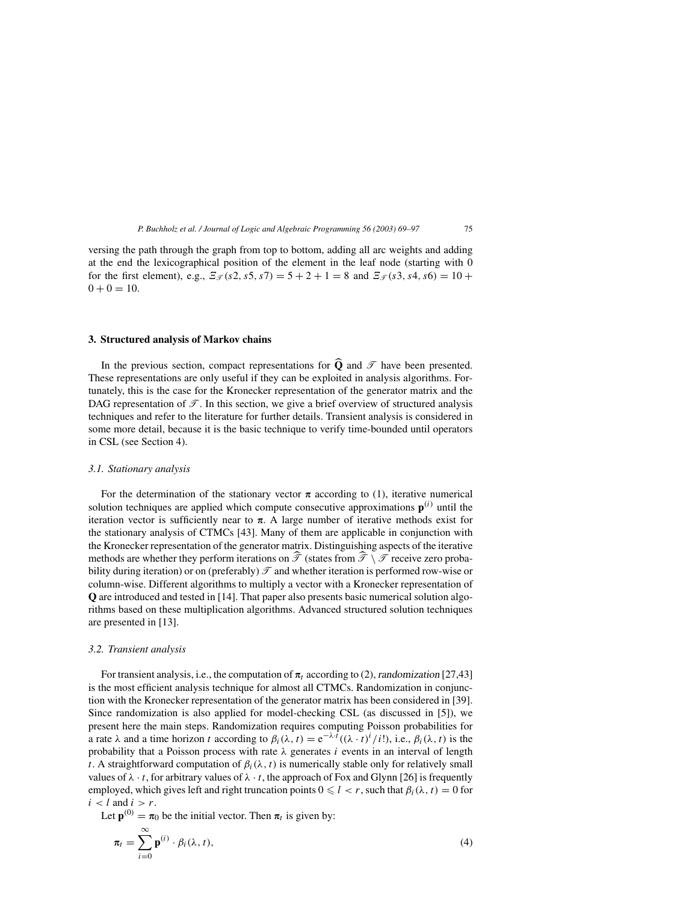versing the path through the graph from top to bottom, adding all arc weights and adding at the end the lexicographical position of the element in the leaf node (starting with 0 for the first element), e.g.,  $\mathcal{Z}_{\mathcal{F}}(s2, s5, s7) = 5 + 2 + 1 = 8$  and  $\mathcal{Z}_{\mathcal{F}}(s3, s4, s6) = 10 +$  $0 + 0 = 10.$ 

## **3. Structured analysis of Markov chains**

In the previous section, compact representations for  $\widehat{Q}$  and  $\mathcal{T}$  have been presented. These representations are only useful if they can be exploited in analysis algorithms. Fortunately, this is the case for the Kronecker representation of the generator matrix and the DAG representation of  $\mathcal{T}$ . In this section, we give a brief overview of structured analysis techniques and refer to the literature for further details. Transient analysis is considered in some more detail, because it is the basic technique to verify time-bounded until operators in CSL (see Section 4).

## *3.1. Stationary analysis*

For the determination of the stationary vector  $\pi$  according to (1), iterative numerical solution techniques are applied which compute consecutive approximations  $p^{(i)}$  until the iteration vector is sufficiently near to  $\pi$ . A large number of iterative methods exist for the stationary analysis of CTMCs [43]. Many of them are applicable in conjunction with the Kronecker representation of the generator matrix. Distinguishing aspects of the iterative methods are whether they perform iterations on  $\hat{\mathcal{T}}$  (states from  $\hat{\mathcal{T}} \setminus \mathcal{T}$  receive zero probability during iteration) or on (preferably)  $\mathcal T$  and whether iteration is performed row-wise or column-wise. Different algorithms to multiply a vector with a Kronecker representation of **Q** are introduced and tested in [14]. That paper also presents basic numerical solution algorithms based on these multiplication algorithms. Advanced structured solution techniques are presented in [13].

#### *3.2. Transient analysis*

For transient analysis, i.e., the computation of  $\pi_t$  according to (2), randomization [27,43] is the most efficient analysis technique for almost all CTMCs. Randomization in conjunction with the Kronecker representation of the generator matrix has been considered in [39]. Since randomization is also applied for model-checking CSL (as discussed in [5]), we present here the main steps. Randomization requires computing Poisson probabilities for a rate  $\lambda$  and a time horizon t according to  $\beta_i(\lambda, t) = e^{-\lambda \cdot t}((\lambda \cdot t)^i / i!)$ , i.e.,  $\beta_i(\lambda, t)$  is the probability that a Poisson process with rate  $\lambda$  generates i events in an interval of length t. A straightforward computation of  $\beta_i(\lambda, t)$  is numerically stable only for relatively small values of  $\lambda \cdot t$ , for arbitrary values of  $\lambda \cdot t$ , the approach of Fox and Glynn [26] is frequently employed, which gives left and right truncation points  $0 \le l < r$ , such that  $\beta_i(\lambda, t) = 0$  for  $i < l$  and  $i > r$ .

Let  $\mathbf{p}^{(0)} = \pi_0$  be the initial vector. Then  $\pi_t$  is given by:

$$
\pi_t = \sum_{i=0}^{\infty} \mathbf{p}^{(i)} \cdot \beta_i(\lambda, t), \tag{4}
$$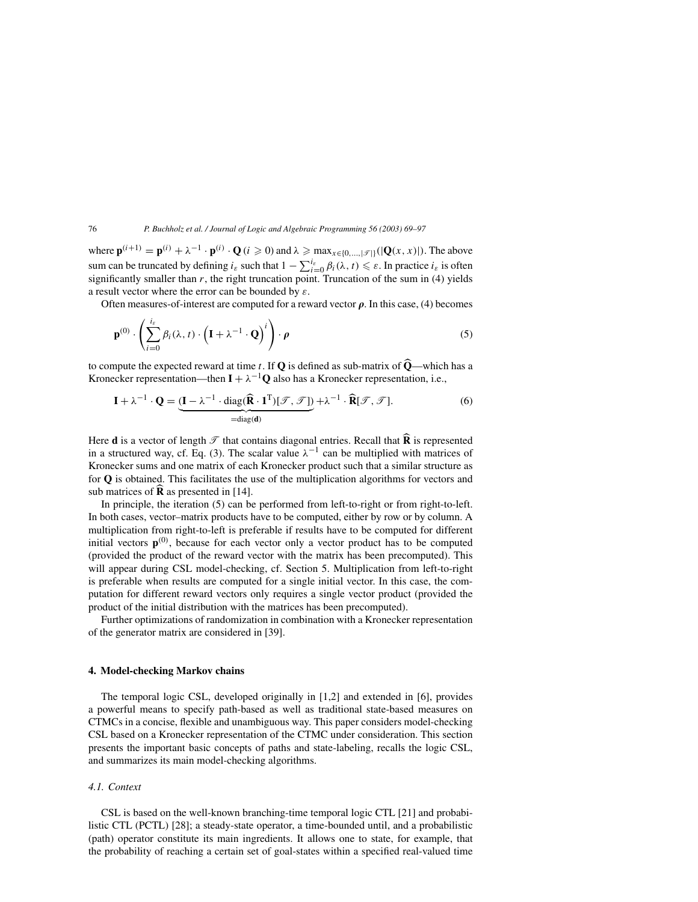where  $\mathbf{p}^{(i+1)} = \mathbf{p}^{(i)} + \lambda^{-1} \cdot \mathbf{p}^{(i)} \cdot \mathbf{Q}$  (*i*  $\geqslant 0$ ) and  $\lambda \geqslant \max_{x \in \{0, \dots, |\mathcal{T}|\}}(|\mathbf{Q}(x, x)|)$ . The above sum can be truncated by defining  $i_{\varepsilon}$  such that  $1 - \sum_{i=0}^{i_{\varepsilon}} \beta_i(\lambda, t) \leq \varepsilon$ . In practice  $i_{\varepsilon}$  is often significantly smaller than  $r$ , the right truncation point. Truncation of the sum in (4) yields a result vector where the error can be bounded by  $\varepsilon$ .

Often measures-of-interest are computed for a reward vector  $\rho$ . In this case, (4) becomes

$$
\mathbf{p}^{(0)} \cdot \left( \sum_{i=0}^{i_{\varepsilon}} \beta_i(\lambda, t) \cdot \left( \mathbf{I} + \lambda^{-1} \cdot \mathbf{Q} \right)^i \right) \cdot \rho
$$
 (5)

to compute the expected reward at time t. If  $Q$  is defined as sub-matrix of  $Q$ —which has a Kronecker representation—then  $\mathbf{I} + \lambda^{-1} \mathbf{Q}$  also has a Kronecker representation, i.e.,

$$
\mathbf{I} + \lambda^{-1} \cdot \mathbf{Q} = \underbrace{(\mathbf{I} - \lambda^{-1} \cdot \text{diag}(\hat{\mathbf{R}} \cdot \mathbf{1}^T) [\mathcal{F}, \mathcal{F}])}_{= \text{diag}(\mathbf{d})} + \lambda^{-1} \cdot \hat{\mathbf{R}} [\mathcal{F}, \mathcal{F}].
$$
 (6)

Here **d** is a vector of length  $\mathcal{T}$  that contains diagonal entries. Recall that  $\widehat{\mathbf{R}}$  is represented in a structured way, cf. Eq. (3). The scalar value  $\lambda^{-1}$  can be multiplied with matrices of Kronecker sums and one matrix of each Kronecker product such that a similar structure as for **Q** is obtained. This facilitates the use of the multiplication algorithms for vectors and sub matrices of  $\overline{\mathbf{R}}$  as presented in [14].

In principle, the iteration (5) can be performed from left-to-right or from right-to-left. In both cases, vector–matrix products have to be computed, either by row or by column. A multiplication from right-to-left is preferable if results have to be computed for different initial vectors  $\mathbf{p}^{(0)}$ , because for each vector only a vector product has to be computed (provided the product of the reward vector with the matrix has been precomputed). This will appear during CSL model-checking, cf. Section 5. Multiplication from left-to-right is preferable when results are computed for a single initial vector. In this case, the computation for different reward vectors only requires a single vector product (provided the product of the initial distribution with the matrices has been precomputed).

Further optimizations of randomization in combination with a Kronecker representation of the generator matrix are considered in [39].

## **4. Model-checking Markov chains**

The temporal logic CSL, developed originally in [1,2] and extended in [6], provides a powerful means to specify path-based as well as traditional state-based measures on CTMCs in a concise, flexible and unambiguous way. This paper considers model-checking CSL based on a Kronecker representation of the CTMC under consideration. This section presents the important basic concepts of paths and state-labeling, recalls the logic CSL, and summarizes its main model-checking algorithms.

## *4.1. Context*

CSL is based on the well-known branching-time temporal logic CTL [21] and probabilistic CTL (PCTL) [28]; a steady-state operator, a time-bounded until, and a probabilistic (path) operator constitute its main ingredients. It allows one to state, for example, that the probability of reaching a certain set of goal-states within a specified real-valued time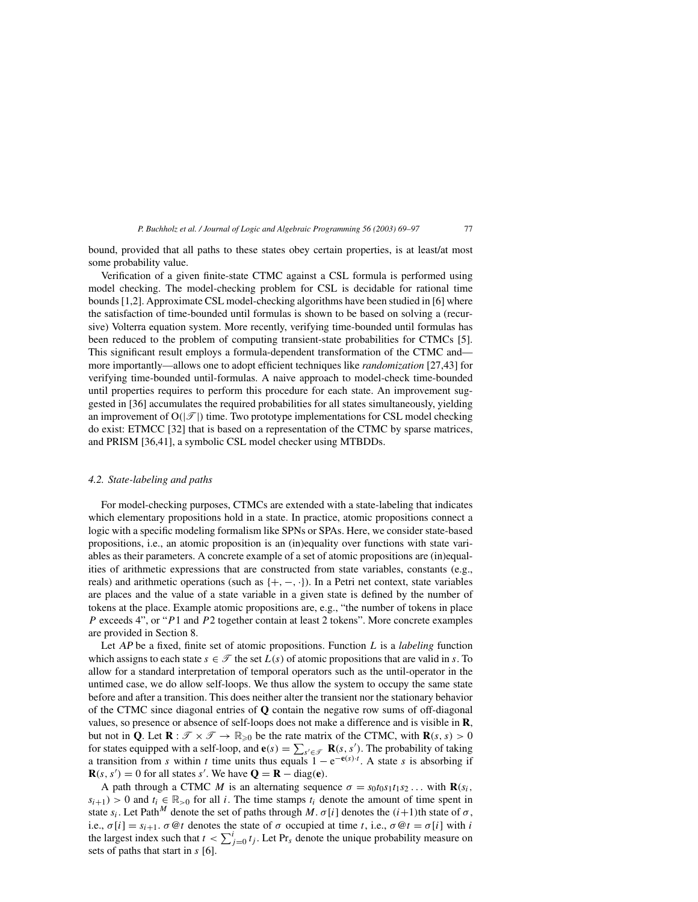bound, provided that all paths to these states obey certain properties, is at least/at most some probability value.

Verification of a given finite-state CTMC against a CSL formula is performed using model checking. The model-checking problem for CSL is decidable for rational time bounds [1,2]. Approximate CSL model-checking algorithms have been studied in [6] where the satisfaction of time-bounded until formulas is shown to be based on solving a (recursive) Volterra equation system. More recently, verifying time-bounded until formulas has been reduced to the problem of computing transient-state probabilities for CTMCs [5]. This significant result employs a formula-dependent transformation of the CTMC and more importantly—allows one to adopt efficient techniques like *randomization* [27,43] for verifying time-bounded until-formulas. A naive approach to model-check time-bounded until properties requires to perform this procedure for each state. An improvement suggested in [36] accumulates the required probabilities for all states simultaneously, yielding an improvement of  $O(|\mathcal{T}|)$  time. Two prototype implementations for CSL model checking do exist: ETMCC [32] that is based on a representation of the CTMC by sparse matrices, and PRISM [36,41], a symbolic CSL model checker using MTBDDs.

#### *4.2. State-labeling and paths*

For model-checking purposes, CTMCs are extended with a state-labeling that indicates which elementary propositions hold in a state. In practice, atomic propositions connect a logic with a specific modeling formalism like SPNs or SPAs. Here, we consider state-based propositions, i.e., an atomic proposition is an (in)equality over functions with state variables as their parameters. A concrete example of a set of atomic propositions are (in)equalities of arithmetic expressions that are constructed from state variables, constants (e.g., reals) and arithmetic operations (such as  $\{+, -, \cdot\}$ ). In a Petri net context, state variables are places and the value of a state variable in a given state is defined by the number of tokens at the place. Example atomic propositions are, e.g., "the number of tokens in place P exceeds 4", or "P1 and P2 together contain at least 2 tokens". More concrete examples are provided in Section 8.

Let AP be a fixed, finite set of atomic propositions. Function L is a *labeling* function which assigns to each state  $s \in \mathcal{T}$  the set  $L(s)$  of atomic propositions that are valid in s. To allow for a standard interpretation of temporal operators such as the until-operator in the untimed case, we do allow self-loops. We thus allow the system to occupy the same state before and after a transition. This does neither alter the transient nor the stationary behavior of the CTMC since diagonal entries of **Q** contain the negative row sums of off-diagonal values, so presence or absence of self-loops does not make a difference and is visible in **R**, but not in **Q**. Let  $\mathbf{R} : \mathcal{T} \times \mathcal{T} \to \mathbb{R}_{\geq 0}$  be the rate matrix of the CTMC, with  $\mathbf{R}(s, s) > 0$ for states equipped with a self-loop, and  $e(s) = \sum_{s' \in \mathcal{F}} \mathbf{R}(s, s')$ . The probability of taking a transition from s within t time units thus equals  $1 - e^{-e(s)t}$ . A state s is absorbing if  $\mathbf{R}(s, s') = 0$  for all states s'. We have  $\mathbf{Q} = \mathbf{R} - \text{diag}(\mathbf{e})$ .

A path through a CTMC M is an alternating sequence  $\sigma = s_0 t_0 s_1 t_1 s_2 \dots$  with **R**(s<sub>i</sub>,  $s_{i+1}$ ) > 0 and  $t_i \in \mathbb{R}_{>0}$  for all i. The time stamps  $t_i$  denote the amount of time spent in state  $s_i$ . Let Path $^M$  denote the set of paths through  $M$ .  $\sigma[i]$  denotes the  $(i+1)$ th state of  $\sigma$ , i.e.,  $\sigma[i] = s_{i+1}$ .  $\sigma \mathcal{Q}t$  denotes the state of  $\sigma$  occupied at time t, i.e.,  $\sigma \mathcal{Q}t = \sigma[i]$  with i the largest index such that  $t < \sum_{j=0}^{i} t_j$ . Let Pr<sub>s</sub> denote the unique probability measure on sets of paths that start in s [6].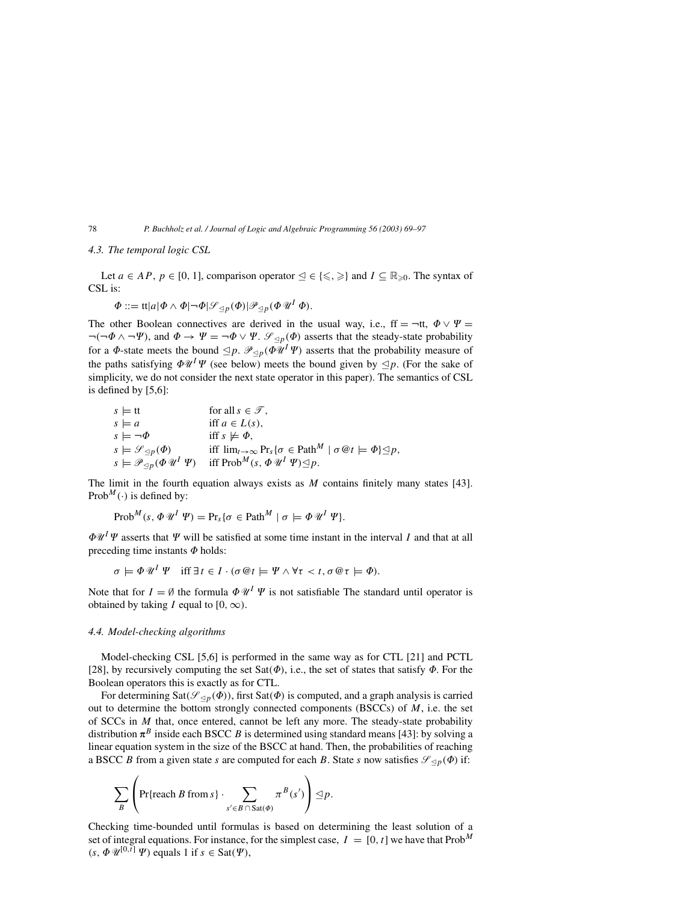## *4.3. The temporal logic CSL*

Let  $a \in AP$ ,  $p \in [0, 1]$ , comparison operator  $\leq \in \{\leq, \geq\}$  and  $I \subseteq \mathbb{R}_{\geq 0}$ . The syntax of CSL is:

$$
\Phi ::= \mathrm{tt}|a|\Phi \wedge \Phi| \neg \Phi| \mathcal{S}_{\leq p}(\Phi)|\mathcal{P}_{\leq p}(\Phi \mathcal{U}^I \Phi).
$$

The other Boolean connectives are derived in the usual way, i.e.,  $ff = \neg ft$ ,  $\Phi \lor \Psi =$  $\neg(\neg \Phi \land \neg \Psi)$ , and  $\Phi \to \Psi = \neg \Phi \lor \Psi$ .  $\mathcal{S}_{\leq p}(\Phi)$  asserts that the steady-state probability for a  $\Phi$ -state meets the bound  $\leq p$ .  $\mathcal{P}_{\leq p}(\Phi \mathcal{U}^I \Psi)$  asserts that the probability measure of the paths satisfying  $\Phi \mathscr{U}^I \Psi$  (see below) meets the bound given by  $\leq p$ . (For the sake of simplicity, we do not consider the next state operator in this paper). The semantics of CSL is defined by [5,6]:

$$
s \models \text{tt} \quad \text{for all } s \in \mathcal{T},
$$
  
\n
$$
s \models a \quad \text{iff } a \in L(s),
$$
  
\n
$$
s \models \neg \Phi \quad \text{iff } s \not\models \Phi,
$$
  
\n
$$
s \models \mathcal{G}_{\preceq p}(\Phi) \quad \text{iff } \lim_{t \to \infty} \Pr_s \{ \sigma \in \text{Path}^M \mid \sigma \mathcal{Q}t \models \Phi \} \preceq p,
$$
  
\n
$$
s \models \mathcal{P}_{\preceq p}(\Phi \mathcal{U}^I \Psi) \quad \text{iff } \text{Prob}^M(s, \Phi \mathcal{U}^I \Psi) \preceq p.
$$

The limit in the fourth equation always exists as  $M$  contains finitely many states [43]. Prob<sup>M</sup>( $\cdot$ ) is defined by:

$$
\mathrm{Prob}^M(s, \Phi \mathscr{U}^I \mathscr{V}) = \mathrm{Pr}_s \{ \sigma \in \mathrm{Path}^M \mid \sigma \models \Phi \mathscr{U}^I \mathscr{V} \}.
$$

 $\Phi \mathscr{U}^I \Psi$  asserts that  $\Psi$  will be satisfied at some time instant in the interval I and that at all preceding time instants  $\Phi$  holds:

$$
\sigma \models \Phi \mathscr{U}^I \mathscr{V} \quad \text{iff } \exists t \in I \cdot (\sigma \mathscr{Q} t \models \mathscr{V} \wedge \forall \tau < t, \sigma \mathscr{Q} \tau \models \Phi).
$$

Note that for  $I = \emptyset$  the formula  $\Phi \mathcal{U}^I \Psi$  is not satisfiable The standard until operator is obtained by taking I equal to  $[0, \infty)$ .

## *4.4. Model-checking algorithms*

Model-checking CSL [5,6] is performed in the same way as for CTL [21] and PCTL [28], by recursively computing the set Sat( $\Phi$ ), i.e., the set of states that satisfy  $\Phi$ . For the Boolean operators this is exactly as for CTL.

For determining Sat( $\mathscr{S}_{\leq p}(\vec{\Phi})$ ), first Sat( $\vec{\Phi}$ ) is computed, and a graph analysis is carried out to determine the bottom strongly connected components (BSCCs) of  $M$ , i.e. the set of SCCs in  $M$  that, once entered, cannot be left any more. The steady-state probability distribution  $\pi^B$  inside each BSCC B is determined using standard means [43]: by solving a linear equation system in the size of the BSCC at hand. Then, the probabilities of reaching a BSCC B from a given state s are computed for each B. State s now satisfies  $\mathscr{S}_{\leq p}(\Phi)$  if:

$$
\sum_{B} \left( \Pr\{\text{reach } B \text{ from } s\} \cdot \sum_{s' \in B \cap \text{Sat}(\Phi)} \pi^B(s') \right) \trianglelefteq p.
$$

Checking time-bounded until formulas is based on determining the least solution of a set of integral equations. For instance, for the simplest case,  $I = [0, t]$  we have that Prob<sup>M</sup>  $(s, \Phi \mathscr{U}^{[0,\bar{t}]} \Psi)$  equals 1 if  $s \in$  Sat( $\Psi$ ),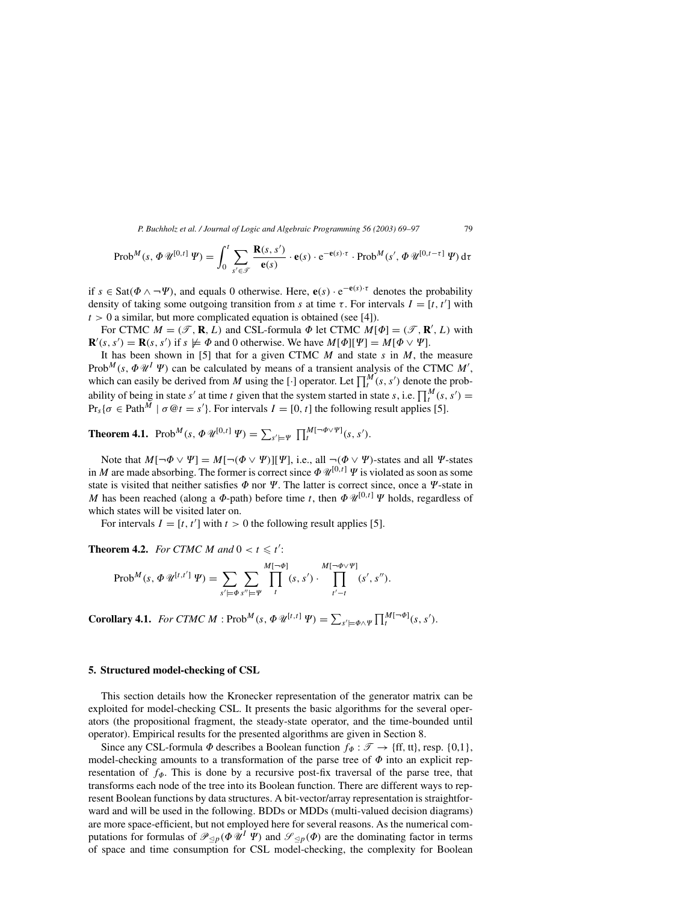$$
\operatorname{Prob}^M(s, \Phi \mathscr{U}^{[0,t]} \mathscr{Y}) = \int_0^t \sum_{s' \in \mathscr{F}} \frac{\mathbf{R}(s, s')}{\mathbf{e}(s)} \cdot \mathbf{e}(s) \cdot e^{-\mathbf{e}(s) \cdot \tau} \cdot \operatorname{Prob}^M(s', \Phi \mathscr{U}^{[0, t-\tau]} \mathscr{Y}) d\tau
$$

if  $s \in$  Sat( $\Phi \land \neg \Psi$ ), and equals 0 otherwise. Here,  $\mathbf{e}(s) \cdot e^{-\mathbf{e}(s) \cdot \tau}$  denotes the probability density of taking some outgoing transition from s at time τ. For intervals  $I = [t, t']$  with  $t > 0$  a similar, but more complicated equation is obtained (see [4]).

For CTMC  $M = (\mathcal{T}, \mathbf{R}, L)$  and CSL-formula  $\Phi$  let CTMC  $M[\Phi] = (\mathcal{T}, \mathbf{R}', L)$  with  $\mathbf{R}'(s, s') = \mathbf{R}(s, s')$  if  $s \not\models \Phi$  and 0 otherwise. We have  $M[\Phi][\Psi] = M[\Phi \vee \Psi]$ .

It has been shown in [5] that for a given CTMC  $M$  and state  $s$  in  $M$ , the measure Prob<sup>M</sup>(s,  $\Phi \mathcal{U}^I \Psi$ ) can be calculated by means of a transient analysis of the CTMC M', which can easily be derived from M using the [·] operator. Let  $\prod_t^M$  (s, s') denote the probability of being in state s' at time t given that the system started in state s, i.e.  $\prod_t^M$  (s, s') =  $Pr_s{\sigma \in \text{Path}^{\bar{M}} \mid \sigma \mathcal{Q}t = s'}$ . For intervals  $I = [0, t]$  the following result applies [5].

**Theorem 4.1.** Prob<sup>M</sup>(s,  $\Phi \mathscr{U}^{[0,t]} \mathscr{Y}) = \sum_{s' \models \Psi} \prod_{t}^{M[-\Phi \vee \Psi]}(s, s').$ 

Note that  $M[\neg \Phi \lor \Psi] = M[\neg (\Phi \lor \Psi)][\Psi]$ , i.e., all  $\neg (\Phi \lor \Psi)$ -states and all  $\Psi$ -states in M are made absorbing. The former is correct since  $\Phi \mathscr{U}^{[0,t]}$   $\Psi$  is violated as soon as some state is visited that neither satisfies  $\Phi$  nor  $\Psi$ . The latter is correct since, once a  $\Psi$ -state in M has been reached (along a  $\Phi$ -path) before time t, then  $\Phi \mathcal{U}^{[0,t]}$   $\Psi$  holds, regardless of which states will be visited later on.

For intervals  $I = [t, t']$  with  $t > 0$  the following result applies [5].

**Theorem 4.2.** *For CTMC M and*  $0 < t \leq t'$ :

$$
\text{Prob}^{M}(s, \Phi \mathscr{U}^{[t, t']}\mathscr{W}) = \sum_{s' \models \Phi} \sum_{s'' \models \Psi} \prod_{t}^{M[\neg \Phi]}(s, s') \cdot \prod_{t' - t}^{M[\neg \Phi \vee \Psi]}(s', s'').
$$

**Corollary 4.1.** *For CTMC M* :  $\text{Prob}^M(s, \Phi \mathcal{U}^{[t,t]} | \Psi) = \sum_{s' \models \Phi \wedge \Psi} \prod_t^{M[\neg \Phi]}(s, s').$ 

## **5. Structured model-checking of CSL**

This section details how the Kronecker representation of the generator matrix can be exploited for model-checking CSL. It presents the basic algorithms for the several operators (the propositional fragment, the steady-state operator, and the time-bounded until operator). Empirical results for the presented algorithms are given in Section 8.

Since any CSL-formula  $\Phi$  describes a Boolean function  $f_{\Phi}: \mathscr{T} \to \{ff, tt\}$ , resp. {0,1}, model-checking amounts to a transformation of the parse tree of  $\Phi$  into an explicit representation of  $f_{\phi}$ . This is done by a recursive post-fix traversal of the parse tree, that transforms each node of the tree into its Boolean function. There are different ways to represent Boolean functions by data structures. A bit-vector/array representation is straightforward and will be used in the following. BDDs or MDDs (multi-valued decision diagrams) are more space-efficient, but not employed here for several reasons. As the numerical computations for formulas of  $\mathcal{P}_{\leq p}(\Phi \Psi^I \Psi)$  and  $\mathcal{S}_{\leq p}(\Phi)$  are the dominating factor in terms of space and time consumption for CSL model-checking, the complexity for Boolean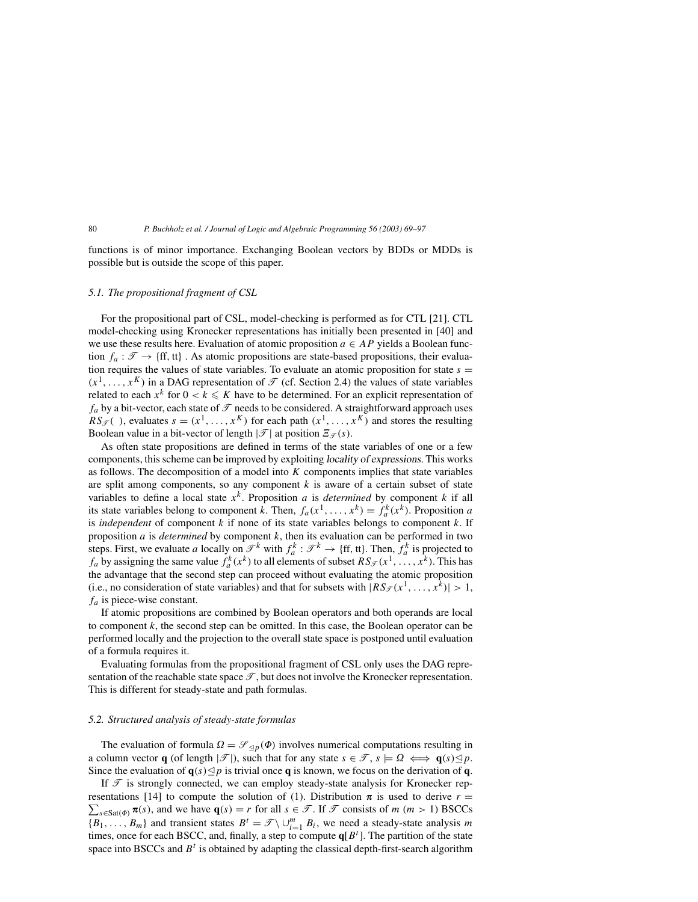functions is of minor importance. Exchanging Boolean vectors by BDDs or MDDs is possible but is outside the scope of this paper.

## *5.1. The propositional fragment of CSL*

For the propositional part of CSL, model-checking is performed as for CTL [21]. CTL model-checking using Kronecker representations has initially been presented in [40] and we use these results here. Evaluation of atomic proposition  $a \in AP$  yields a Boolean function  $f_a : \mathcal{T} \to \{ \text{ff}, \text{tt} \}$ . As atomic propositions are state-based propositions, their evaluation requires the values of state variables. To evaluate an atomic proposition for state  $s =$  $(x^1, \ldots, x^K)$  in a DAG representation of  $\mathcal T$  (cf. Section 2.4) the values of state variables related to each  $x^k$  for  $0 < k \leq K$  have to be determined. For an explicit representation of  $f_a$  by a bit-vector, each state of  $\mathcal T$  needs to be considered. A straightforward approach uses  $RS_{\mathcal{F}}($ ), evaluates  $s = (x^1, \ldots, x^K)$  for each path  $(x^1, \ldots, x^K)$  and stores the resulting Boolean value in a bit-vector of length  $|\mathcal{T}|$  at position  $\mathcal{Z}_{\mathcal{T}}(s)$ .

As often state propositions are defined in terms of the state variables of one or a few components, this scheme can be improved by exploiting locality of expressions. This works as follows. The decomposition of a model into  $K$  components implies that state variables are split among components, so any component  $k$  is aware of a certain subset of state variables to define a local state  $x^k$ . Proposition a is *determined* by component k if all its state variables belong to component k. Then,  $f_a(x^1, ..., x^k) = f_a^k(x^k)$ . Proposition a is *independent* of component  $k$  if none of its state variables belongs to component  $k$ . If proposition a is *determined* by component k, then its evaluation can be performed in two steps. First, we evaluate a locally on  $\mathcal{T}^k$  with  $f_a^k : \mathcal{T}^k \to \{ \text{ff}, \text{tt} \}$ . Then,  $f_a^k$  is projected to  $f_a$  by assigning the same value  $f_a^k(x^k)$  to all elements of subset  $RS_{\mathcal{T}}(x^1, \ldots, x^k)$ . This has the advantage that the second step can proceed without evaluating the atomic proposition (i.e., no consideration of state variables) and that for subsets with  $|RS_{\mathcal{T}}(x^1, \ldots, x^k)| > 1$ ,  $f_a$  is piece-wise constant.

If atomic propositions are combined by Boolean operators and both operands are local to component  $k$ , the second step can be omitted. In this case, the Boolean operator can be performed locally and the projection to the overall state space is postponed until evaluation of a formula requires it.

Evaluating formulas from the propositional fragment of CSL only uses the DAG representation of the reachable state space  $\mathcal{T}$ , but does not involve the Kronecker representation. This is different for steady-state and path formulas.

## *5.2. Structured analysis of steady-state formulas*

The evaluation of formula  $\Omega = \mathscr{S}_{\leq p}(\Phi)$  involves numerical computations resulting in a column vector **q** (of length  $|\mathcal{T}|$ ), such that for any state  $s \in \mathcal{T}$ ,  $s \models \Omega \iff \mathbf{q}(s) \leq p$ . Since the evaluation of  $\mathbf{q}(s) \leq p$  is trivial once **q** is known, we focus on the derivation of **q**.

If  $\mathcal T$  is strongly connected, we can employ steady-state analysis for Kronecker rep- $\sum_{s \in \text{Sat}(\Phi)} \pi(s)$ , and we have  $\mathbf{q}(s) = r$  for all  $s \in \mathcal{T}$ . If  $\mathcal{T}$  consists of  $m$   $(m > 1)$  BSCCs resentations [14] to compute the solution of (1). Distribution  $\pi$  is used to derive  $r =$  ${B_1, \ldots, B_m}$  and transient states  $B^t = \mathcal{T} \setminus \bigcup_{i=1}^m B_i$ , we need a steady-state analysis m times, once for each BSCC, and, finally, a step to compute  $q[B^t]$ . The partition of the state space into BSCCs and  $B<sup>t</sup>$  is obtained by adapting the classical depth-first-search algorithm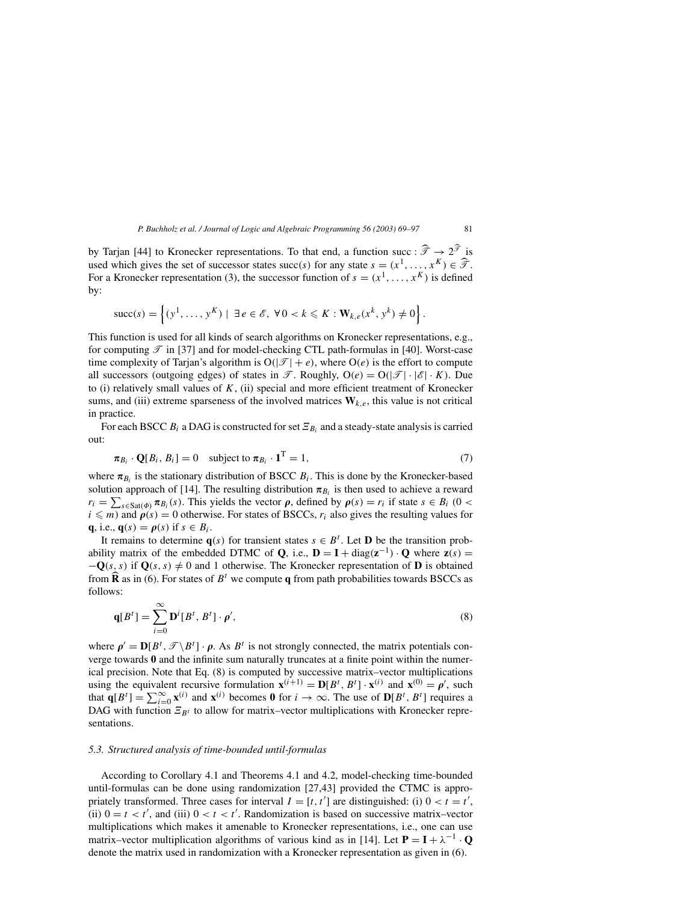by Tarjan [44] to Kronecker representations. To that end, a function succ :  $\hat{\mathcal{T}} \to 2^{\hat{\mathcal{T}}}$  is used which gives the set of successor states succ(s) for any state  $s = (x^1, \dots, x^K) \in \widehat{\mathcal{T}}$ . For a Kronecker representation (3), the successor function of  $s = (x^1, \dots, x^K)$  is defined by:

$$
\text{succ}(s) = \left\{ (y^1, \ldots, y^K) \mid \exists e \in \mathscr{E}, \forall 0 < k \leq K : \mathbf{W}_{k,e}(x^k, y^k) \neq 0 \right\}.
$$

This function is used for all kinds of search algorithms on Kronecker representations, e.g., for computing  $\mathcal{T}$  in [37] and for model-checking CTL path-formulas in [40]. Worst-case time complexity of Tarjan's algorithm is  $O(|\mathcal{T}| + e)$ , where  $O(e)$  is the effort to compute all successors (outgoing edges) of states in  $\mathcal{T}$ . Roughly,  $O(e) = O(|\mathcal{T}| \cdot |\mathcal{E}| \cdot K)$ . Due to (i) relatively small values of  $K$ , (ii) special and more efficient treatment of Kronecker sums, and (iii) extreme sparseness of the involved matrices  $W_{k,e}$ , this value is not critical in practice.

For each BSCC  $B_i$  a DAG is constructed for set  $\mathcal{Z}_{B_i}$  and a steady-state analysis is carried out:

$$
\pi_{B_i} \cdot \mathbf{Q}[B_i, B_i] = 0 \quad \text{subject to } \pi_{B_i} \cdot \mathbf{1}^{\mathrm{T}} = 1,\tag{7}
$$

where  $\pi_{B_i}$  is the stationary distribution of BSCC  $B_i$ . This is done by the Kronecker-based solution approach of [14]. The resulting distribution  $\pi_{B_i}$  is then used to achieve a reward  $r_i = \sum_{s \in \text{Sat}(\Phi)} \pi_{B_i}(s)$ . This yields the vector  $\rho$ , defined by  $\rho(s) = r_i$  if state  $s \in B_i$  (0 <  $i \leq m$ ) and  $\rho(s) = 0$  otherwise. For states of BSCCs,  $r_i$  also gives the resulting values for **q**, i.e.,  $\mathbf{q}(s) = \rho(s)$  if  $s \in B_i$ .

It remains to determine  $q(s)$  for transient states  $s \in B^t$ . Let **D** be the transition probability matrix of the embedded DTMC of **Q**, i.e.,  $\mathbf{D} = \mathbf{I} + \text{diag}(\mathbf{z}^{-1}) \cdot \mathbf{Q}$  where  $\mathbf{z}(s) =$  $-\mathbf{Q}(s, s)$  if  $\mathbf{Q}(s, s) \neq 0$  and 1 otherwise. The Kronecker representation of **D** is obtained from  $\hat{\mathbf{R}}$  as in (6). For states of  $B^t$  we compute **q** from path probabilities towards BSCCs as follows:

$$
\mathbf{q}[B^t] = \sum_{i=0}^{\infty} \mathbf{D}^i[B^t, B^t] \cdot \rho',\tag{8}
$$

where  $\rho' = D[B^t, \mathcal{F} \backslash B^t] \cdot \rho$ . As  $B^t$  is not strongly connected, the matrix potentials converge towards **0** and the infinite sum naturally truncates at a finite point within the numerical precision. Note that Eq. (8) is computed by successive matrix–vector multiplications using the equivalent recursive formulation  $\mathbf{x}^{(i+1)} = \mathbf{D}[B^t, B^t] \cdot \mathbf{x}^{(i)}$  and  $\mathbf{x}^{(0)} = \rho'$ , such that  $\mathbf{q}[B^t] = \sum_{i=0}^{\infty} \mathbf{x}^{(i)}$  and  $\mathbf{x}^{(i)}$  becomes **0** for  $i \to \infty$ . The use of  $\mathbf{D}[B^t, B^t]$  requires a DAG with function  $\mathbb{E}_{B_t}$  to allow for matrix–vector multiplications with Kronecker representations.

## *5.3. Structured analysis of time-bounded until-formulas*

According to Corollary 4.1 and Theorems 4.1 and 4.2, model-checking time-bounded until-formulas can be done using randomization [27,43] provided the CTMC is appropriately transformed. Three cases for interval  $I = [t, t']$  are distinguished: (i)  $0 < t = t'$ , (ii)  $0 = t < t'$ , and (iii)  $0 < t < t'$ . Randomization is based on successive matrix–vector multiplications which makes it amenable to Kronecker representations, i.e., one can use matrix–vector multiplication algorithms of various kind as in [14]. Let  $P = I + \lambda^{-1} \cdot Q$ denote the matrix used in randomization with a Kronecker representation as given in (6).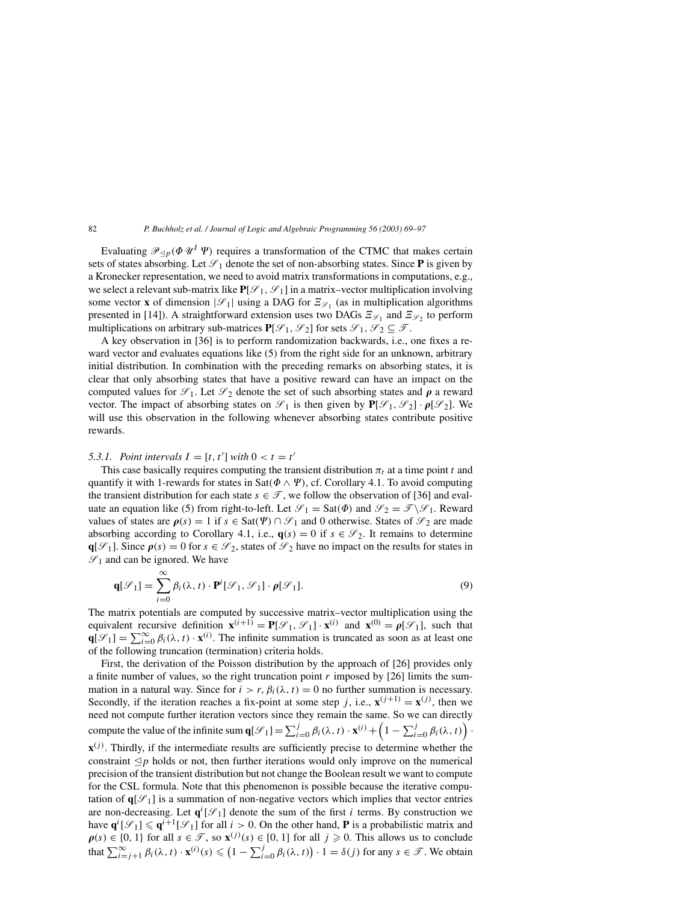Evaluating  $\mathcal{P}_{\leq p}(\Phi \mathcal{U}^I \Psi)$  requires a transformation of the CTMC that makes certain sets of states absorbing. Let  $\mathcal{S}_1$  denote the set of non-absorbing states. Since **P** is given by a Kronecker representation, we need to avoid matrix transformations in computations, e.g., we select a relevant sub-matrix like  $P[\mathcal{S}_1, \mathcal{S}_1]$  in a matrix–vector multiplication involving some vector **x** of dimension  $|\mathcal{S}_1|$  using a DAG for  $\mathcal{Z}_{\mathcal{S}_1}$  (as in multiplication algorithms presented in [14]). A straightforward extension uses two DAGs  $\mathcal{Z}_{\mathcal{S}_1}$  and  $\mathcal{Z}_{\mathcal{S}_2}$  to perform multiplications on arbitrary sub-matrices  $P[\mathcal{S}_1, \mathcal{S}_2]$  for sets  $\mathcal{S}_1, \mathcal{S}_2 \subseteq \mathcal{T}$ .

A key observation in [36] is to perform randomization backwards, i.e., one fixes a reward vector and evaluates equations like (5) from the right side for an unknown, arbitrary initial distribution. In combination with the preceding remarks on absorbing states, it is clear that only absorbing states that have a positive reward can have an impact on the computed values for  $\mathscr{S}_1$ . Let  $\mathscr{S}_2$  denote the set of such absorbing states and  $\rho$  a reward vector. The impact of absorbing states on  $\mathscr{S}_1$  is then given by  $\mathbf{P}[\mathscr{S}_1, \mathscr{S}_2] \cdot \rho[\mathscr{S}_2]$ . We will use this observation in the following whenever absorbing states contribute positive rewards.

# 5.3.1. Point intervals  $I = [t, t']$  with  $0 < t = t'$

This case basically requires computing the transient distribution  $\pi_t$  at a time point t and quantify it with 1-rewards for states in Sat( $\Phi \wedge \Psi$ ), cf. Corollary 4.1. To avoid computing the transient distribution for each state  $s \in \mathcal{T}$ , we follow the observation of [36] and evaluate an equation like (5) from right-to-left. Let  $\mathcal{S}_1 = \text{Sat}(\Phi)$  and  $\mathcal{S}_2 = \mathcal{J}\backslash\mathcal{S}_1$ . Reward values of states are  $\rho(s) = 1$  if  $s \in \text{Sat}(\Psi) \cap \mathcal{S}_1$  and 0 otherwise. States of  $\mathcal{S}_2$  are made absorbing according to Corollary 4.1, i.e.,  $\mathbf{q}(s) = 0$  if  $s \in \mathcal{S}_2$ . It remains to determine  $\mathbf{q}[\mathcal{S}_1]$ . Since  $\rho(s) = 0$  for  $s \in \mathcal{S}_2$ , states of  $\mathcal{S}_2$  have no impact on the results for states in  $\mathcal{S}_1$  and can be ignored. We have

$$
\mathbf{q}[\mathcal{S}_1] = \sum_{i=0}^{\infty} \beta_i(\lambda, t) \cdot \mathbf{P}^i[\mathcal{S}_1, \mathcal{S}_1] \cdot \rho[\mathcal{S}_1].
$$
\n(9)

The matrix potentials are computed by successive matrix–vector multiplication using the equivalent recursive definition  $\mathbf{x}^{(i+1)} = \mathbf{P}[\mathcal{S}_1, \mathcal{S}_1] \cdot \mathbf{x}^{(i)}$  and  $\mathbf{x}^{(0)} = \rho[\mathcal{S}_1]$ , such that  $\mathbf{q}[\mathcal{S}_1] = \sum_{i=0}^{\infty} \beta_i(\lambda, t) \cdot \mathbf{x}^{(i)}$ . The infinite summation is truncated as soon as at least one of the following truncation (termination) criteria holds.

First, the derivation of the Poisson distribution by the approach of [26] provides only a finite number of values, so the right truncation point  $r$  imposed by [26] limits the summation in a natural way. Since for  $i > r$ ,  $\beta_i(\lambda, t) = 0$  no further summation is necessary. Secondly, if the iteration reaches a fix-point at some step j, i.e.,  $\mathbf{x}^{(j+1)} = \mathbf{x}^{(j)}$ , then we need not compute further iteration vectors since they remain the same. So we can directly compute the value of the infinite sum  $\mathbf{q}[\mathcal{S}_1] = \sum_{i=0}^j \beta_i(\lambda, t) \cdot \mathbf{x}^{(i)} + \left(1 - \sum_{i=0}^j \beta_i(\lambda, t)\right)$ .  $\mathbf{x}^{(j)}$ . Thirdly, if the intermediate results are sufficiently precise to determine whether the constraint  $\leq p$  holds or not, then further iterations would only improve on the numerical precision of the transient distribution but not change the Boolean result we want to compute for the CSL formula. Note that this phenomenon is possible because the iterative computation of  $q[\mathcal{S}_1]$  is a summation of non-negative vectors which implies that vector entries are non-decreasing. Let  $q^{i}[\mathcal{S}_1]$  denote the sum of the first i terms. By construction we have  $\mathbf{q}^i[\mathcal{S}_1] \leqslant \mathbf{q}^{i+1}[\mathcal{S}_1]$  for all  $i > 0$ . On the other hand, **P** is a probabilistic matrix and  $\rho(s) \in \{0, 1\}$  for all  $s \in \mathcal{T}$ , so  $\mathbf{x}^{(j)}(s) \in [0, 1]$  for all  $j \geq 0$ . This allows us to conclude that  $\sum_{i=j+1}^{\infty} \beta_i(\lambda, t) \cdot \mathbf{x}^{(i)}(s) \leq (1 - \sum_{i=0}^{j} \beta_i(\lambda, t)) \cdot 1 = \delta(j)$  for any  $s \in \mathcal{T}$ . We obtain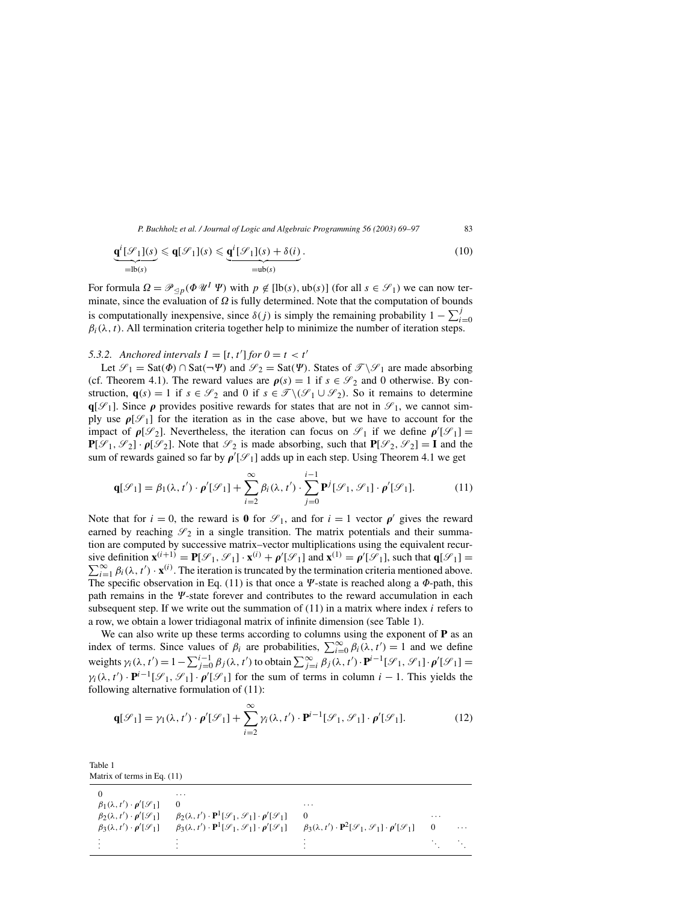$$
\underbrace{\mathbf{q}^{i}[\mathcal{S}_{1}](s)}_{=\text{lb}(s)} \leqslant \mathbf{q}[\mathcal{S}_{1}](s) \leqslant \underbrace{\mathbf{q}^{i}[\mathcal{S}_{1}](s) + \delta(i)}_{=\text{ub}(s)}.
$$
\n(10)

For formula  $\Omega = \mathcal{P}_{\leq p}(\Phi \mathcal{U}^I \Psi)$  with  $p \notin [\text{lb}(s), \text{ub}(s)]$  (for all  $s \in \mathcal{S}_1$ ) we can now terminate, since the evaluation of  $\Omega$  is fully determined. Note that the computation of bounds is computationally inexpensive, since  $\delta(j)$  is simply the remaining probability  $1 - \sum_{i=0}^{j}$  $\beta_i(\lambda, t)$ . All termination criteria together help to minimize the number of iteration steps.

# 5.3.2. Anchored intervals  $I = [t, t']$  for  $0 = t < t'$

Let  $\mathcal{S}_1 = \text{Sat}(\Phi) \cap \text{Sat}(\neg \Psi)$  and  $\mathcal{S}_2 = \text{Sat}(\Psi)$ . States of  $\mathcal{J}\backslash \mathcal{S}_1$  are made absorbing (cf. Theorem 4.1). The reward values are  $\rho(s) = 1$  if  $s \in \mathcal{S}_2$  and 0 otherwise. By construction, **q**(s) = 1 if  $s \in \mathcal{S}_2$  and 0 if  $s \in \mathcal{T} \setminus (\mathcal{S}_1 \cup \mathcal{S}_2)$ . So it remains to determine  $q[\mathcal{S}_1]$ . Since  $\rho$  provides positive rewards for states that are not in  $\mathcal{S}_1$ , we cannot simply use  $\rho[\mathcal{S}_1]$  for the iteration as in the case above, but we have to account for the impact of  $\rho[\mathcal{S}_2]$ . Nevertheless, the iteration can focus on  $\mathcal{S}_1$  if we define  $\rho'[\mathcal{S}_1] =$  $P[\mathcal{S}_1, \mathcal{S}_2] \cdot \rho[\mathcal{S}_2]$ . Note that  $\mathcal{S}_2$  is made absorbing, such that  $P[\mathcal{S}_2, \mathcal{S}_2] = I$  and the sum of rewards gained so far by  $\rho'[\mathcal{S}_1]$  adds up in each step. Using Theorem 4.1 we get

$$
\mathbf{q}[\mathcal{S}_1] = \beta_1(\lambda, t') \cdot \boldsymbol{\rho}'[\mathcal{S}_1] + \sum_{i=2}^{\infty} \beta_i(\lambda, t') \cdot \sum_{j=0}^{i-1} \mathbf{P}^j[\mathcal{S}_1, \mathcal{S}_1] \cdot \boldsymbol{\rho}'[\mathcal{S}_1].
$$
 (11)

Note that for  $i = 0$ , the reward is **0** for  $\mathcal{S}_1$ , and for  $i = 1$  vector  $\rho'$  gives the reward earned by reaching  $\mathcal{S}_2$  in a single transition. The matrix potentials and their summation are computed by successive matrix–vector multiplications using the equivalent recursive definition  $\mathbf{x}^{(i+1)} = \mathbf{P}[\mathcal{S}_1, \mathcal{S}_1] \cdot \mathbf{x}^{(i)} + \rho'[\mathcal{S}_1]$  and  $\mathbf{x}^{(1)} = \rho'[\mathcal{S}_1]$ , such that  $\mathbf{q}[\mathcal{S}_1] =$  $\sum_{i=1}^{\infty} \beta_i(\lambda, t') \cdot \mathbf{x}^{(i)}$ . The iteration is truncated by the termination criteria mentioned above. The specific observation in Eq. (11) is that once a  $\Psi$ -state is reached along a  $\Phi$ -path, this path remains in the  $\Psi$ -state forever and contributes to the reward accumulation in each subsequent step. If we write out the summation of  $(11)$  in a matrix where index i refers to a row, we obtain a lower tridiagonal matrix of infinite dimension (see Table 1).

We can also write up these terms according to columns using the exponent of **P** as an index of terms. Since values of  $\beta_i$  are probabilities,  $\sum_{i=0}^{\infty} \beta_i(\lambda, t') = 1$  and we define weights  $\gamma_i(\lambda, t') = 1 - \sum_{j=0}^{i-1} \beta_j(\lambda, t')$  to obtain  $\sum_{j=i}^{\infty} \beta_j(\lambda, t') \cdot \mathbf{P}^{i-1}[\mathcal{S}_1, \mathcal{S}_1] \cdot \rho'[\mathcal{S}_1] =$  $\gamma_i(\lambda, t') \cdot \mathbf{P}^{i-1}[\mathcal{S}_1, \mathcal{S}_1] \cdot \rho'[\mathcal{S}_1]$  for the sum of terms in column  $i-1$ . This yields the following alternative formulation of (11):

$$
\mathbf{q}[\mathcal{S}_1] = \gamma_1(\lambda, t') \cdot \rho'[\mathcal{S}_1] + \sum_{i=2}^{\infty} \gamma_i(\lambda, t') \cdot \mathbf{P}^{i-1}[\mathcal{S}_1, \mathcal{S}_1] \cdot \rho'[\mathcal{S}_1].
$$
 (12)

Table 1 Matrix of terms in Eq. (11)

|                                                   | .                                                                                                  |                                                                                                             |            |          |
|---------------------------------------------------|----------------------------------------------------------------------------------------------------|-------------------------------------------------------------------------------------------------------------|------------|----------|
| $\beta_1(\lambda, t') \cdot \rho'[\mathcal{S}_1]$ |                                                                                                    | .                                                                                                           |            |          |
| $\beta_2(\lambda, t') \cdot \rho'[\mathcal{S}_1]$ | $\beta_2(\lambda, t') \cdot \mathbf{P}^1[\mathcal{S}_1, \mathcal{S}_1] \cdot \rho'[\mathcal{S}_1]$ |                                                                                                             | .          |          |
| $\beta_3(\lambda, t') \cdot \rho'[\mathcal{S}_1]$ | $\beta_3(\lambda, t') \cdot \mathbf{P}^1[\mathcal{S}_1, \mathcal{S}_1] \cdot \rho'[\mathcal{S}_1]$ | $\beta_3(\lambda, t') \cdot \mathbf{P}^2[\mathcal{S}_1, \mathcal{S}_1] \cdot \mathbf{\rho}'[\mathcal{S}_1]$ |            | $\cdots$ |
|                                                   |                                                                                                    |                                                                                                             |            |          |
|                                                   |                                                                                                    |                                                                                                             | $\sim 100$ |          |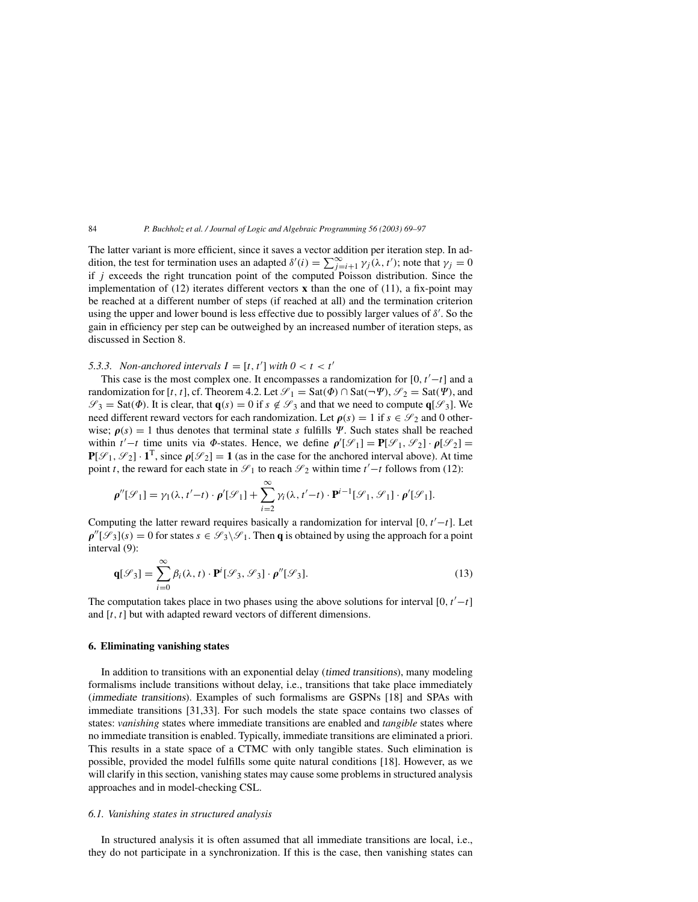The latter variant is more efficient, since it saves a vector addition per iteration step. In addition, the test for termination uses an adapted  $\delta'(i) = \sum_{j=i+1}^{\infty} \gamma_j(\lambda, t')$ ; note that  $\gamma_j = 0$ if  $j$  exceeds the right truncation point of the computed Poisson distribution. Since the implementation of (12) iterates different vectors **x** than the one of (11), a fix-point may be reached at a different number of steps (if reached at all) and the termination criterion using the upper and lower bound is less effective due to possibly larger values of  $\delta'$ . So the gain in efficiency per step can be outweighed by an increased number of iteration steps, as discussed in Section 8.

# 5.3.3. Non-anchored intervals  $I = [t, t']$  with  $0 < t < t'$

This case is the most complex one. It encompasses a randomization for  $[0, t'-t]$  and a randomization for [t, t], cf. Theorem 4.2. Let  $\mathcal{S}_1 = \text{Sat}(\Phi) \cap \text{Sat}(\neg \Psi)$ ,  $\mathcal{S}_2 = \text{Sat}(\Psi)$ , and  $\mathscr{S}_3 = \text{Sat}(\Phi)$ . It is clear, that  $\mathbf{q}(s) = 0$  if  $s \notin \mathscr{S}_3$  and that we need to compute  $\mathbf{q}[\mathscr{S}_3]$ . We need different reward vectors for each randomization. Let  $\rho(s) = 1$  if  $s \in \mathcal{S}_2$  and 0 otherwise;  $\rho(s) = 1$  thus denotes that terminal state s fulfills  $\Psi$ . Such states shall be reached within  $t'-t$  time units via  $\Phi$ -states. Hence, we define  $\rho'[\mathcal{S}_1] = \mathbf{P}[\mathcal{S}_1, \mathcal{S}_2] \cdot \rho[\mathcal{S}_2] =$  $P[\mathcal{S}_1, \mathcal{S}_2] \cdot \mathbf{1}^T$ , since  $\rho[\mathcal{S}_2] = 1$  (as in the case for the anchored interval above). At time point t, the reward for each state in  $\mathcal{S}_1$  to reach  $\mathcal{S}_2$  within time t'–t follows from (12):

$$
\rho''[\mathcal{S}_1] = \gamma_1(\lambda, t'-t) \cdot \rho'[\mathcal{S}_1] + \sum_{i=2}^{\infty} \gamma_i(\lambda, t'-t) \cdot \mathbf{P}^{i-1}[\mathcal{S}_1, \mathcal{S}_1] \cdot \rho'[\mathcal{S}_1].
$$

Computing the latter reward requires basically a randomization for interval [0,  $t'-t$ ]. Let  $\rho''[\mathscr{S}_3](s) = 0$  for states  $s \in \mathscr{S}_3 \backslash \mathscr{S}_1$ . Then **q** is obtained by using the approach for a point interval (9):

$$
\mathbf{q}[\mathcal{S}_3] = \sum_{i=0}^{\infty} \beta_i(\lambda, t) \cdot \mathbf{P}^i[\mathcal{S}_3, \mathcal{S}_3] \cdot \rho''[\mathcal{S}_3].
$$
\n(13)

The computation takes place in two phases using the above solutions for interval [0,  $t'-t$ ] and  $[t, t]$  but with adapted reward vectors of different dimensions.

## **6. Eliminating vanishing states**

In addition to transitions with an exponential delay (timed transitions), many modeling formalisms include transitions without delay, i.e., transitions that take place immediately (immediate transitions). Examples of such formalisms are GSPNs [18] and SPAs with immediate transitions [31,33]. For such models the state space contains two classes of states: *vanishing* states where immediate transitions are enabled and *tangible* states where no immediate transition is enabled. Typically, immediate transitions are eliminated a priori. This results in a state space of a CTMC with only tangible states. Such elimination is possible, provided the model fulfills some quite natural conditions [18]. However, as we will clarify in this section, vanishing states may cause some problems in structured analysis approaches and in model-checking CSL.

#### *6.1. Vanishing states in structured analysis*

In structured analysis it is often assumed that all immediate transitions are local, i.e., they do not participate in a synchronization. If this is the case, then vanishing states can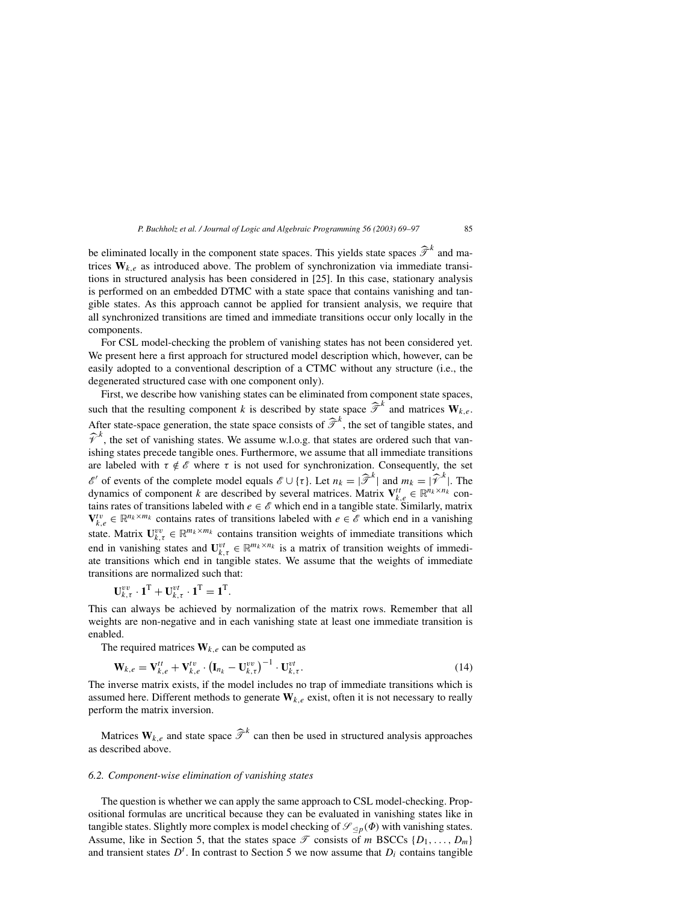be eliminated locally in the component state spaces. This yields state spaces  $\hat{\mathcal{T}}^k$  and matrices  $W_{k,e}$  as introduced above. The problem of synchronization via immediate transitions in structured analysis has been considered in [25]. In this case, stationary analysis is performed on an embedded DTMC with a state space that contains vanishing and tangible states. As this approach cannot be applied for transient analysis, we require that all synchronized transitions are timed and immediate transitions occur only locally in the components.

For CSL model-checking the problem of vanishing states has not been considered yet. We present here a first approach for structured model description which, however, can be easily adopted to a conventional description of a CTMC without any structure (i.e., the degenerated structured case with one component only).

First, we describe how vanishing states can be eliminated from component state spaces, such that the resulting component k is described by state space  $\hat{\mathcal{T}}^k$  and matrices  $\mathbf{W}_{k,e}$ . After state-space generation, the state space consists of  $\hat{\mathcal{T}}^k$ , the set of tangible states, and  $\hat{\mathcal{V}}^k$ , the set of vanishing states. We assume w.l.o.g. that states are ordered such that vanishing states precede tangible ones. Furthermore, we assume that all immediate transitions are labeled with  $\tau \notin \mathscr{E}$  where  $\tau$  is not used for synchronization. Consequently, the set *ε'* of events of the complete model equals  $\mathcal{E} \cup \{\tau\}$ . Let  $n_k = |\mathcal{F}^k|$  and  $m_k = |\mathcal{F}^k|$ . The dynamics of component k are described by several matrices. Matrix  $V_{k,e}^{tt} \in \mathbb{R}^{n_k \times n_k}$  contains rates of transitions labeled with  $e \in \mathscr{E}$  which end in a tangible state. Similarly, matrix  $V_{k,e}^{tv} \in \mathbb{R}^{n_k \times m_k}$  contains rates of transitions labeled with  $e \in \mathscr{E}$  which end in a vanishing state. Matrix  $\mathbf{U}_{k,\tau}^{vv} \in \mathbb{R}^{m_k \times m_k}$  contains transition weights of immediate transitions which end in vanishing states and  $\mathbf{U}_{k,\tau}^{vt} \in \mathbb{R}^{m_k \times n_k}$  is a matrix of transition weights of immediate transitions which end in tangible states. We assume that the weights of immediate transitions are normalized such that:

$$
\mathbf{U}_{k,\tau}^{vv} \cdot \mathbf{1}^{\mathrm{T}} + \mathbf{U}_{k,\tau}^{vt} \cdot \mathbf{1}^{\mathrm{T}} = \mathbf{1}^{\mathrm{T}}.
$$

This can always be achieved by normalization of the matrix rows. Remember that all weights are non-negative and in each vanishing state at least one immediate transition is enabled.

The required matrices  $W_{k,e}$  can be computed as

$$
\mathbf{W}_{k,e} = \mathbf{V}_{k,e}^{tt} + \mathbf{V}_{k,e}^{tv} \cdot (\mathbf{I}_{n_k} - \mathbf{U}_{k,\tau}^{vv})^{-1} \cdot \mathbf{U}_{k,\tau}^{vt}.
$$
\n(14)

The inverse matrix exists, if the model includes no trap of immediate transitions which is assumed here. Different methods to generate  $W_{k,e}$  exist, often it is not necessary to really perform the matrix inversion.

Matrices  $W_{k,e}$  and state space  $\hat{\mathcal{T}}^k$  can then be used in structured analysis approaches as described above.

#### *6.2. Component-wise elimination of vanishing states*

The question is whether we can apply the same approach to CSL model-checking. Propositional formulas are uncritical because they can be evaluated in vanishing states like in tangible states. Slightly more complex is model checking of  $\mathscr{S}_{\leq p}(\Phi)$  with vanishing states. Assume, like in Section 5, that the states space  $\mathcal T$  consists of m BSCCs  $\{D_1, \ldots, D_m\}$ and transient states  $D<sup>t</sup>$ . In contrast to Section 5 we now assume that  $D<sub>i</sub>$  contains tangible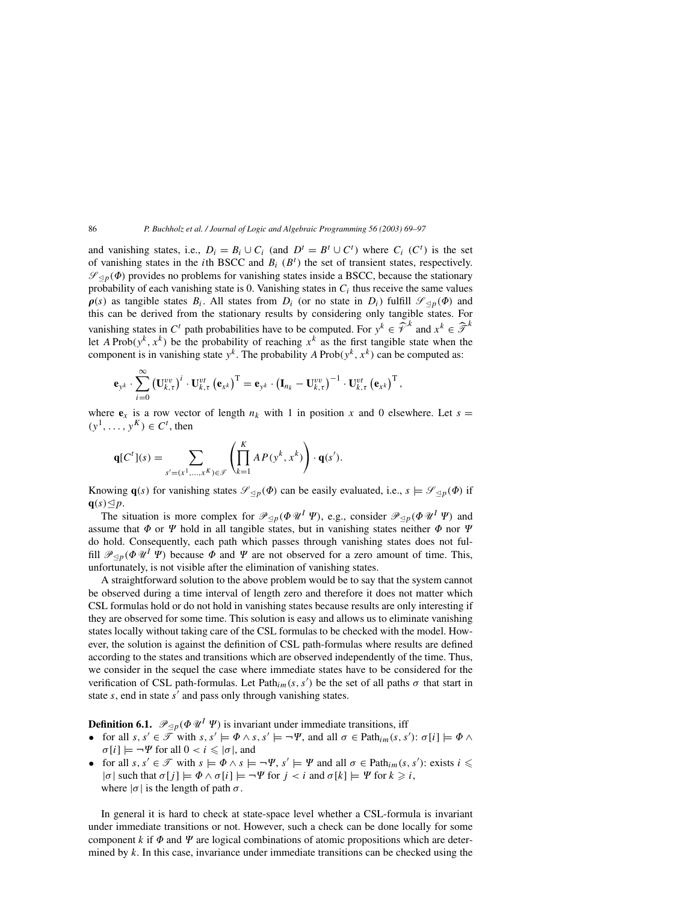and vanishing states, i.e.,  $D_i = B_i \cup C_i$  (and  $D^t = B^t \cup C^t$ ) where  $C_i$  ( $C^t$ ) is the set of vanishing states in the *i*th BSCC and  $B_i$  ( $B<sup>t</sup>$ ) the set of transient states, respectively.  $\mathscr{S}_{\leq p}(\Phi)$  provides no problems for vanishing states inside a BSCC, because the stationary probability of each vanishing state is 0. Vanishing states in  $C_i$  thus receive the same values  $\rho(s)$  as tangible states  $B_i$ . All states from  $D_i$  (or no state in  $D_i$ ) fulfill  $\mathscr{S}_{\leq p}(\Phi)$  and this can be derived from the stationary results by considering only tangible states. For vanishing states in C<sup>t</sup> path probabilities have to be computed. For  $y^k \in \hat{\mathcal{V}}^k$  and  $x^k \in \hat{\mathcal{F}}^k$ let A Prob $(y^k, x^k)$  be the probability of reaching  $x^k$  as the first tangible state when the component is in vanishing state  $y^k$ . The probability A Prob $(y^k, x^k)$  can be computed as:

$$
\mathbf{e}_{y^k} \cdot \sum_{i=0}^{\infty} \left(\mathbf{U}_{k,\tau}^{vv}\right)^i \cdot \mathbf{U}_{k,\tau}^{vt} \left(\mathbf{e}_{x^k}\right)^{\mathrm{T}} = \mathbf{e}_{y^k} \cdot \left(\mathbf{I}_{n_k} - \mathbf{U}_{k,\tau}^{vv}\right)^{-1} \cdot \mathbf{U}_{k,\tau}^{vt} \left(\mathbf{e}_{x^k}\right)^{\mathrm{T}}
$$

where  $e_x$  is a row vector of length  $n_k$  with 1 in position x and 0 elsewhere. Let  $s =$  $(y^1, \ldots, y^K) \in C^t$ , then

,

$$
\mathbf{q}[C^t](s) = \sum_{s'=(x^1,\ldots,x^K)\in\mathcal{F}} \left(\prod_{k=1}^K AP(y^k, x^k)\right) \cdot \mathbf{q}(s').
$$

Knowing  $\mathbf{q}(s)$  for vanishing states  $\mathscr{S}_{\leq p}(\Phi)$  can be easily evaluated, i.e.,  $s \models \mathscr{S}_{\leq p}(\Phi)$  if  $q(s) \leq p$ .

The situation is more complex for  $\mathcal{P}_{\leq p}(\Phi \mathcal{U}^I \Psi)$ , e.g., consider  $\mathcal{P}_{\leq p}(\Phi \mathcal{U}^I \Psi)$  and assume that  $\Phi$  or  $\Psi$  hold in all tangible states, but in vanishing states neither  $\Phi$  nor  $\Psi$ do hold. Consequently, each path which passes through vanishing states does not fulfill  $\mathcal{P}_{\leq p}(\Phi \mathcal{U}^I \Psi)$  because  $\Phi$  and  $\Psi$  are not observed for a zero amount of time. This, unfortunately, is not visible after the elimination of vanishing states.

A straightforward solution to the above problem would be to say that the system cannot be observed during a time interval of length zero and therefore it does not matter which CSL formulas hold or do not hold in vanishing states because results are only interesting if they are observed for some time. This solution is easy and allows us to eliminate vanishing states locally without taking care of the CSL formulas to be checked with the model. However, the solution is against the definition of CSL path-formulas where results are defined according to the states and transitions which are observed independently of the time. Thus, we consider in the sequel the case where immediate states have to be considered for the verification of CSL path-formulas. Let  $Path_{im}(s, s')$  be the set of all paths  $\sigma$  that start in state  $s$ , end in state  $s'$  and pass only through vanishing states.

**Definition 6.1.**  $\mathcal{P}_{\leq p}(\Phi \mathcal{U}^I \Psi)$  is invariant under immediate transitions, iff

- for all  $s, s' \in \overline{\mathcal{F}}$  with  $s, s' \models \Phi \land s, s' \models \neg \Psi$ , and all  $\sigma \in \text{Path}_{im}(s, s') : \sigma[i] \models \Phi \land s'$  $\sigma[i] \models \neg \Psi$  for all  $0 < i \leq |\sigma|$ , and
- for all  $s, s' \in \mathcal{T}$  with  $s \models \Phi \land s \models \neg \Psi, s' \models \Psi$  and all  $\sigma \in \text{Path}_{im}(s, s')$ : exists  $i \leq$  $|\sigma|$  such that  $\sigma[j] \models \Phi \land \sigma[i] \models \neg \Psi$  for  $j < i$  and  $\sigma[k] \models \Psi$  for  $k \geq i$ , where  $|\sigma|$  is the length of path  $\sigma$ .

In general it is hard to check at state-space level whether a CSL-formula is invariant under immediate transitions or not. However, such a check can be done locally for some component  $k$  if  $\Phi$  and  $\Psi$  are logical combinations of atomic propositions which are determined by  $k$ . In this case, invariance under immediate transitions can be checked using the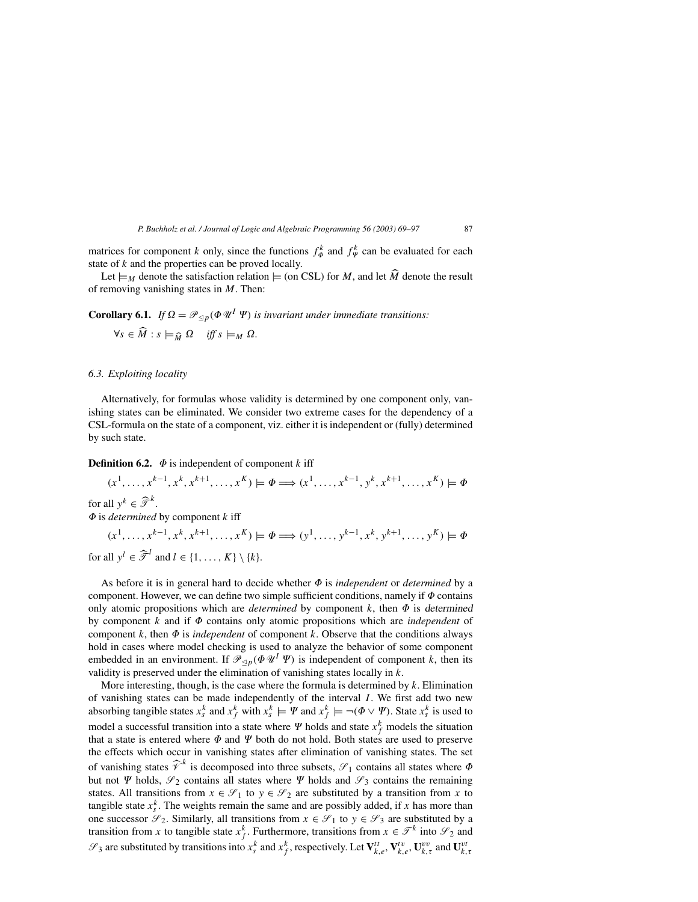matrices for component k only, since the functions  $f_{\phi}^k$  and  $f_{\psi}^k$  can be evaluated for each state of  $k$  and the properties can be proved locally.

Let  $\models_M$  denote the satisfaction relation  $\models$  (on CSL) for M, and let M denote the result of removing vanishing states in  $M$ . Then:

**Corollary 6.1.** *If*  $\Omega = \mathcal{P}_{\leq p}(\Phi \mathcal{U}^I \Psi)$  *is invariant under immediate transitions:* 

$$
\forall s \in \widehat{M} : s \models_{\widehat{M}} \Omega \quad \text{iff } s \models_M \Omega.
$$

## *6.3. Exploiting locality*

Alternatively, for formulas whose validity is determined by one component only, vanishing states can be eliminated. We consider two extreme cases for the dependency of a CSL-formula on the state of a component, viz. either it is independent or (fully) determined by such state.

**Definition 6.2.**  $\Phi$  is independent of component k iff

 $(x^1, \ldots, x^{k-1}, x^k, x^{k+1}, \ldots, x^K) \models \Phi \Longrightarrow (x^1, \ldots, x^{k-1}, y^k, x^{k+1}, \ldots, x^K) \models \Phi$ for all  $y^k \in \widehat{\mathcal{T}}^k$ .  $\Phi$  is *determined* by component  $k$  iff  $(x^1, \ldots, x^{k-1}, x^k, x^{k+1}, \ldots, x^K) \models \Phi \Longrightarrow (y^1, \ldots, y^{k-1}, x^k, y^{k+1}, \ldots, y^K) \models \Phi$ 

for all  $y^l \in \widehat{\mathcal{F}}^l$  and  $l \in \{1, ..., K\} \setminus \{k\}.$ 

As before it is in general hard to decide whether  $\Phi$  is *independent* or *determined* by a component. However, we can define two simple sufficient conditions, namely if  $\Phi$  contains only atomic propositions which are *determined* by component  $k$ , then  $\Phi$  is determined by component  $k$  and if  $\Phi$  contains only atomic propositions which are *independent* of component  $k$ , then  $\Phi$  is *independent* of component  $k$ . Observe that the conditions always hold in cases where model checking is used to analyze the behavior of some component embedded in an environment. If  $\mathcal{P}_{\leq p}(\Phi \mathcal{U}^I \Psi)$  is independent of component k, then its validity is preserved under the elimination of vanishing states locally in  $k$ .

More interesting, though, is the case where the formula is determined by  $k$ . Elimination of vanishing states can be made independently of the interval I . We first add two new absorbing tangible states  $x_s^k$  and  $x_f^k$  with  $x_s^k \models \Psi$  and  $x_f^k \models \neg(\Phi \lor \Psi)$ . State  $x_s^k$  is used to model a successful transition into a state where  $\Psi$  holds and state  $x_f^k$  models the situation that a state is entered where  $\Phi$  and  $\Psi$  both do not hold. Both states are used to preserve the effects which occur in vanishing states after elimination of vanishing states. The set of vanishing states  $\hat{\mathcal{V}}^k$  is decomposed into three subsets,  $\mathcal{S}_1$  contains all states where  $\Phi$ but not  $\Psi$  holds,  $\mathscr{S}_2$  contains all states where  $\Psi$  holds and  $\mathscr{S}_3$  contains the remaining states. All transitions from  $x \in \mathcal{S}_1$  to  $y \in \mathcal{S}_2$  are substituted by a transition from x to tangible state  $x_s^k$ . The weights remain the same and are possibly added, if x has more than one successor  $\mathscr{S}_2$ . Similarly, all transitions from  $x \in \mathscr{S}_1$  to  $y \in \mathscr{S}_3$  are substituted by a transition from x to tangible state  $x_f^k$ . Furthermore, transitions from  $x \in \mathcal{T}^k$  into  $\mathcal{S}_2$  and  $\mathcal{S}_3$  are substituted by transitions into  $x_s^k$  and  $x_f^k$ , respectively. Let  $\mathbf{V}_{k,e}^{tt}$ ,  $\mathbf{V}_{k,e}^{tv}$ ,  $\mathbf{U}_{k,\tau}^{vv}$  and  $\mathbf{U}_{k,\tau}^{vt}$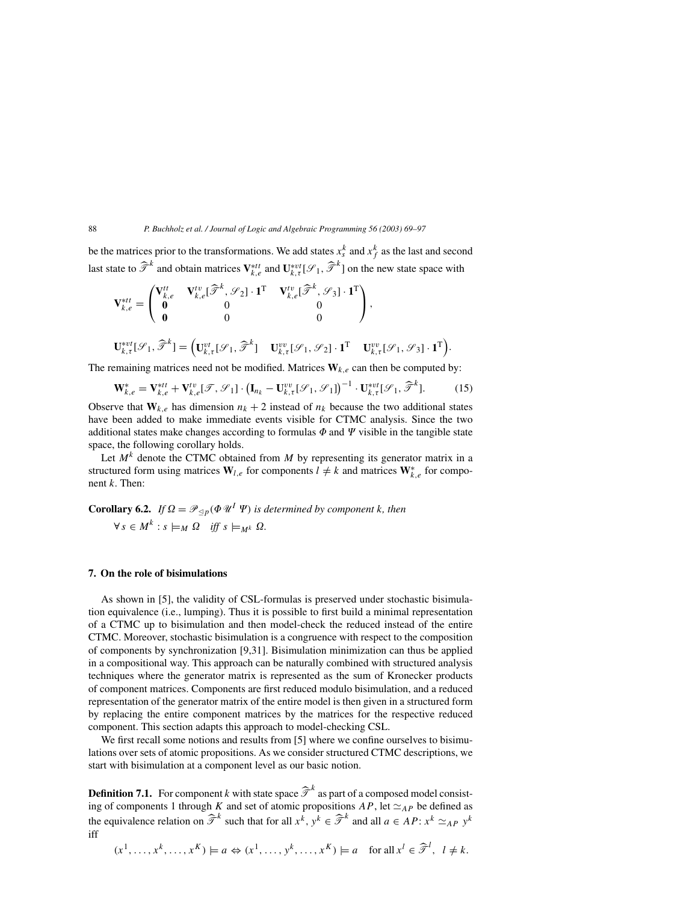be the matrices prior to the transformations. We add states  $x_s^k$  and  $x_f^k$  as the last and second last state to  $\hat{\mathcal{T}}^k$  and obtain matrices  $V_{k,e}^{*tt}$  and  $U_{k,\tau}^{*vt}[\mathcal{S}_1,\hat{\mathcal{T}}^k]$  on the new state space with

$$
\mathbf{V}_{k,e}^{*tt} = \begin{pmatrix} \mathbf{V}_{k,e}^{tt} & \mathbf{V}_{k,e}^{tv}[\widehat{\mathcal{T}}^k, \mathcal{S}_2] \cdot \mathbf{1}^{\mathrm{T}} & \mathbf{V}_{k,e}^{tv}[\widehat{\mathcal{T}}^k, \mathcal{S}_3] \cdot \mathbf{1}^{\mathrm{T}} \\ \mathbf{0} & 0 & 0 \\ \mathbf{0} & 0 & 0 \end{pmatrix},
$$

$$
\mathbf{U}_{k,\tau}^{*vt}[\mathcal{S}_1, \widehat{\mathcal{T}}^k] = \left( \mathbf{U}_{k,\tau}^{vt}[\mathcal{S}_1, \widehat{\mathcal{T}}^k] & \mathbf{U}_{k,\tau}^{vv}[\mathcal{S}_1, \mathcal{S}_2] \cdot \mathbf{1}^{\mathrm{T}} & \mathbf{U}_{k,\tau}^{vv}[\mathcal{S}_1, \mathcal{S}_3] \cdot \mathbf{1}^{\mathrm{T}} \right).
$$

The remaining matrices need not be modified. Matrices  $W_{k,e}$  can then be computed by:

$$
\mathbf{W}_{k,e}^* = \mathbf{V}_{k,e}^{*tt} + \mathbf{V}_{k,e}^{tv}[\mathcal{T}, \mathcal{S}_1] \cdot \left(\mathbf{I}_{n_k} - \mathbf{U}_{k,\tau}^{vv}[\mathcal{S}_1, \mathcal{S}_1]\right)^{-1} \cdot \mathbf{U}_{k,\tau}^{*vt}[\mathcal{S}_1, \widehat{\mathcal{T}}^k].
$$
 (15)

Observe that  $W_{k,e}$  has dimension  $n_k + 2$  instead of  $n_k$  because the two additional states have been added to make immediate events visible for CTMC analysis. Since the two additional states make changes according to formulas  $\Phi$  and  $\Psi$  visible in the tangible state space, the following corollary holds.

Let  $M^k$  denote the CTMC obtained from M by representing its generator matrix in a structured form using matrices  $W_{l,e}$  for components  $l \neq k$  and matrices  $W_{k,e}^*$  for component k. Then:

**Corollary 6.2.** *If*  $\Omega = \mathcal{P}_{\leq p}(\Phi \mathcal{U}^I \Psi)$  is determined by component k, then  $\forall s \in M^k : s \models_M \Omega \quad \text{iff} \ s \models_{M^k} \Omega.$ 

#### **7. On the role of bisimulations**

As shown in [5], the validity of CSL-formulas is preserved under stochastic bisimulation equivalence (i.e., lumping). Thus it is possible to first build a minimal representation of a CTMC up to bisimulation and then model-check the reduced instead of the entire CTMC. Moreover, stochastic bisimulation is a congruence with respect to the composition of components by synchronization [9,31]. Bisimulation minimization can thus be applied in a compositional way. This approach can be naturally combined with structured analysis techniques where the generator matrix is represented as the sum of Kronecker products of component matrices. Components are first reduced modulo bisimulation, and a reduced representation of the generator matrix of the entire model is then given in a structured form by replacing the entire component matrices by the matrices for the respective reduced component. This section adapts this approach to model-checking CSL.

We first recall some notions and results from [5] where we confine ourselves to bisimulations over sets of atomic propositions. As we consider structured CTMC descriptions, we start with bisimulation at a component level as our basic notion.

**Definition 7.1.** For component k with state space  $\hat{\mathcal{T}}^k$  as part of a composed model consisting of components 1 through K and set of atomic propositions  $AP$ , let  $\simeq_{AP}$  be defined as the equivalence relation on  $\hat{\mathcal{T}}^k$  such that for all  $x^k$ ,  $y^k \in \hat{\mathcal{T}}^k$  and all  $a \in AP$ :  $x^k \simeq_{AP} y^k$ iff

 $(x^1, \ldots, x^k, \ldots, x^K) \models a \Leftrightarrow (x^1, \ldots, y^k, \ldots, x^K) \models a \text{ for all } x^l \in \widehat{\mathcal{F}}^l, \ l \neq k.$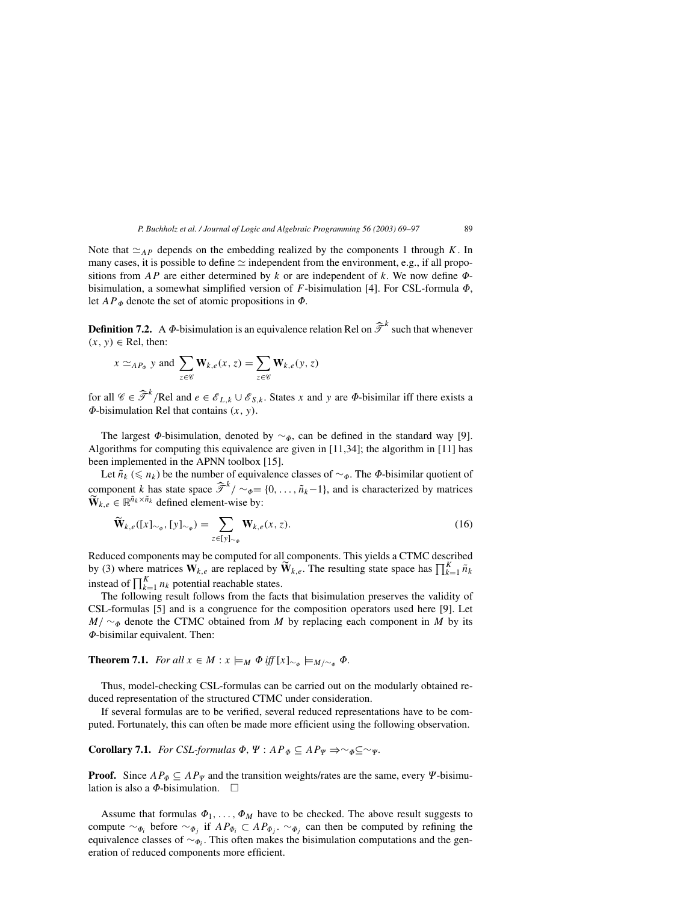Note that  $\simeq_{AP}$  depends on the embedding realized by the components 1 through K. In many cases, it is possible to define  $\simeq$  independent from the environment, e.g., if all propositions from  $AP$  are either determined by k or are independent of k. We now define  $\Phi$ bisimulation, a somewhat simplified version of  $F$ -bisimulation [4]. For CSL-formula  $\Phi$ , let  $AP_{\Phi}$  denote the set of atomic propositions in  $\Phi$ .

**Definition 7.2.** A  $\Phi$ -bisimulation is an equivalence relation Rel on  $\hat{\mathcal{T}}^k$  such that whenever  $(x, y) \in$  Rel, then:

$$
x \simeq_{AP_{\phi}} y
$$
 and  $\sum_{z \in \mathscr{C}} \mathbf{W}_{k,e}(x, z) = \sum_{z \in \mathscr{C}} \mathbf{W}_{k,e}(y, z)$ 

for all  $\mathscr{C} \in \widehat{\mathscr{T}}^k$ /Rel and  $e \in \mathscr{E}_{L,k} \cup \mathscr{E}_{S,k}$ . States x and y are  $\Phi$ -bisimilar iff there exists a  $\Phi$ -bisimulation Rel that contains  $(x, y)$ .

The largest  $\Phi$ -bisimulation, denoted by  $\sim_{\Phi}$ , can be defined in the standard way [9]. Algorithms for computing this equivalence are given in  $[11,34]$ ; the algorithm in  $[11]$  has been implemented in the APNN toolbox [15].

Let  $\tilde{n_k}$  ( $\leq n_k$ ) be the number of equivalence classes of  $\sim_{\Phi}$ . The  $\Phi$ -bisimilar quotient of component k has state space  $\hat{\mathcal{T}}^k/\sim_{\phi}=\{0,\ldots,\tilde{n}_k-1\}$ , and is characterized by matrices  $\widetilde{\mathbf{W}}_{k,e} \in \mathbb{R}^{\tilde{n}_k \times \tilde{n}_k}$  defined element-wise by:

$$
\widetilde{\mathbf{W}}_{k,e}([x]_{\sim_{\phi}}, [y]_{\sim_{\phi}}) = \sum_{z \in [y]_{\sim_{\phi}}} \mathbf{W}_{k,e}(x, z). \tag{16}
$$

Reduced components may be computed for all components. This yields a CTMC described by (3) where matrices  $W_{k,e}$  are replaced by  $\widetilde{W}_{k,e}$ . The resulting state space has  $\prod_{k=1}^{K} \widetilde{n}_k$ instead of  $\prod_{k=1}^{K} n_k$  potential reachable states.

The following result follows from the facts that bisimulation preserves the validity of CSL-formulas [5] and is a congruence for the composition operators used here [9]. Let  $M/\sim_{\Phi}$  denote the CTMC obtained from M by replacing each component in M by its --bisimilar equivalent. Then:

**Theorem 7.1.** *For all*  $x \in M : x \models_M \Phi$  *iff*  $[x]_{\sim_{\Phi}} \models_{M/\sim_{\Phi}} \Phi$ .

Thus, model-checking CSL-formulas can be carried out on the modularly obtained reduced representation of the structured CTMC under consideration.

If several formulas are to be verified, several reduced representations have to be computed. Fortunately, this can often be made more efficient using the following observation.

**Corollary 7.1.** *For CSL-formulas*  $\Phi$ ,  $\Psi$  :  $AP_{\Phi} \subseteq AP_{\Psi} \Rightarrow \sim_{\Phi} \subseteq \sim_{\Psi}$ .

**Proof.** Since  $AP_{\Phi} \subseteq AP_{\Psi}$  and the transition weights/rates are the same, every  $\Psi$ -bisimulation is also a  $\Phi$ -bisimulation.  $\Box$ 

Assume that formulas  $\Phi_1, \ldots, \Phi_M$  have to be checked. The above result suggests to compute  $\sim_{\Phi_i}$  before  $\sim_{\Phi_j}$  if  $AP_{\Phi_i} \subset AP_{\Phi_j}$ .  $\sim_{\Phi_j}$  can then be computed by refining the equivalence classes of  $\sim_{\phi_i}$ . This often makes the bisimulation computations and the generation of reduced components more efficient.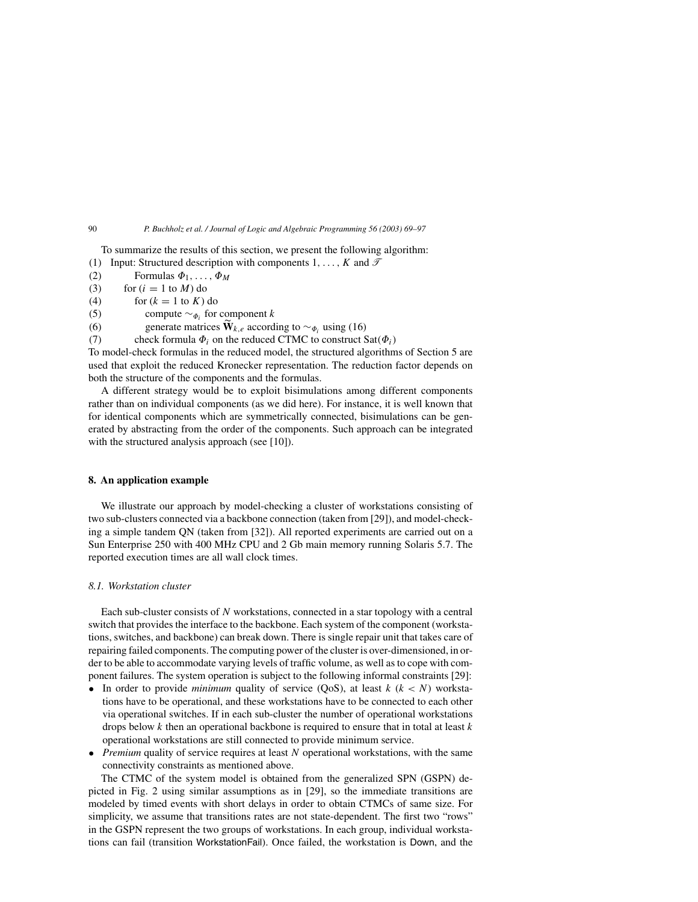To summarize the results of this section, we present the following algorithm:

- (1) Input: Structured description with components  $1, \ldots, K$  and  $\mathcal{T}$
- (2) Formulas  $\Phi_1, \ldots, \Phi_M$
- (3) for  $(i = 1$  to  $M$ ) do (4) for  $(k = 1$  to  $K$ ) do
- 
- (5) compute  $\sim_{\Phi_i}$  for component k

(6) generate matrices **W**<sub>k,e</sub> according to ∼ $\varphi_i$  using (16)

(7) check formula  $\Phi_i$  on the reduced CTMC to construct Sat $(\Phi_i)$ 

To model-check formulas in the reduced model, the structured algorithms of Section 5 are used that exploit the reduced Kronecker representation. The reduction factor depends on both the structure of the components and the formulas.

A different strategy would be to exploit bisimulations among different components rather than on individual components (as we did here). For instance, it is well known that for identical components which are symmetrically connected, bisimulations can be generated by abstracting from the order of the components. Such approach can be integrated with the structured analysis approach (see [10]).

## **8. An application example**

We illustrate our approach by model-checking a cluster of workstations consisting of two sub-clusters connected via a backbone connection (taken from [29]), and model-checking a simple tandem QN (taken from [32]). All reported experiments are carried out on a Sun Enterprise 250 with 400 MHz CPU and 2 Gb main memory running Solaris 5.7. The reported execution times are all wall clock times.

## *8.1. Workstation cluster*

Each sub-cluster consists of N workstations, connected in a star topology with a central switch that provides the interface to the backbone. Each system of the component (workstations, switches, and backbone) can break down. There is single repair unit that takes care of repairing failed components. The computing power of the cluster is over-dimensioned, in order to be able to accommodate varying levels of traffic volume, as well as to cope with component failures. The system operation is subject to the following informal constraints [29]:

- In order to provide *minimum* quality of service (QoS), at least  $k (k < N)$  workstations have to be operational, and these workstations have to be connected to each other via operational switches. If in each sub-cluster the number of operational workstations drops below  $k$  then an operational backbone is required to ensure that in total at least  $k$ operational workstations are still connected to provide minimum service.
- *Premium* quality of service requires at least N operational workstations, with the same connectivity constraints as mentioned above.

The CTMC of the system model is obtained from the generalized SPN (GSPN) depicted in Fig. 2 using similar assumptions as in [29], so the immediate transitions are modeled by timed events with short delays in order to obtain CTMCs of same size. For simplicity, we assume that transitions rates are not state-dependent. The first two "rows" in the GSPN represent the two groups of workstations. In each group, individual workstations can fail (transition WorkstationFail). Once failed, the workstation is Down, and the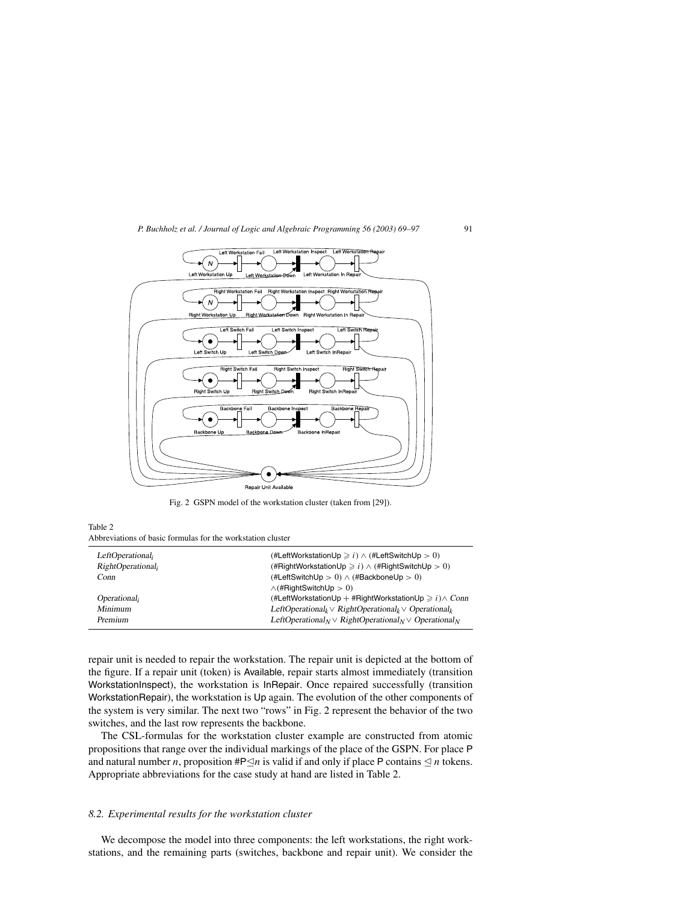

Fig. 2 GSPN model of the workstation cluster (taken from [29]).

Table 2 Abbreviations of basic formulas for the workstation cluster

| LeftOperational,               | (#LeftWorkstationUp $\geq i$ ) $\wedge$ (#LeftSwitchUp $> 0$ )                                    |
|--------------------------------|---------------------------------------------------------------------------------------------------|
| RightOperational <sub>i</sub>  | (#RightWorkstationUp $\geq i$ ) $\wedge$ (#RightSwitchUp $> 0$ )                                  |
| Conn                           | (#LeftSwitchUp > 0) $\wedge$ (#BackboneUp > 0)                                                    |
|                                | $\wedge$ (#RightSwitchUp > 0)                                                                     |
| <i>Operational<sub>i</sub></i> | (#LeftWorkstationUp + #RightWorkstationUp $\geq i$ ) $\wedge$ Conn                                |
| Minimum                        | LeftOperational <sub>k</sub> $\vee$ RightOperational <sub>k</sub> $\vee$ Operational <sub>k</sub> |
| Premium                        | LeftOperational <sub>N</sub> $\vee$ RightOperational <sub>N</sub> $\vee$ Operational <sub>N</sub> |
|                                |                                                                                                   |

repair unit is needed to repair the workstation. The repair unit is depicted at the bottom of the figure. If a repair unit (token) is Available, repair starts almost immediately (transition WorkstationInspect), the workstation is InRepair. Once repaired successfully (transition WorkstationRepair), the workstation is Up again. The evolution of the other components of the system is very similar. The next two "rows" in Fig. 2 represent the behavior of the two switches, and the last row represents the backbone.

The CSL-formulas for the workstation cluster example are constructed from atomic propositions that range over the individual markings of the place of the GSPN. For place P and natural number *n*, proposition  $\#P \leq n$  is valid if and only if place P contains  $\leq n$  tokens. Appropriate abbreviations for the case study at hand are listed in Table 2.

## *8.2. Experimental results for the workstation cluster*

We decompose the model into three components: the left workstations, the right workstations, and the remaining parts (switches, backbone and repair unit). We consider the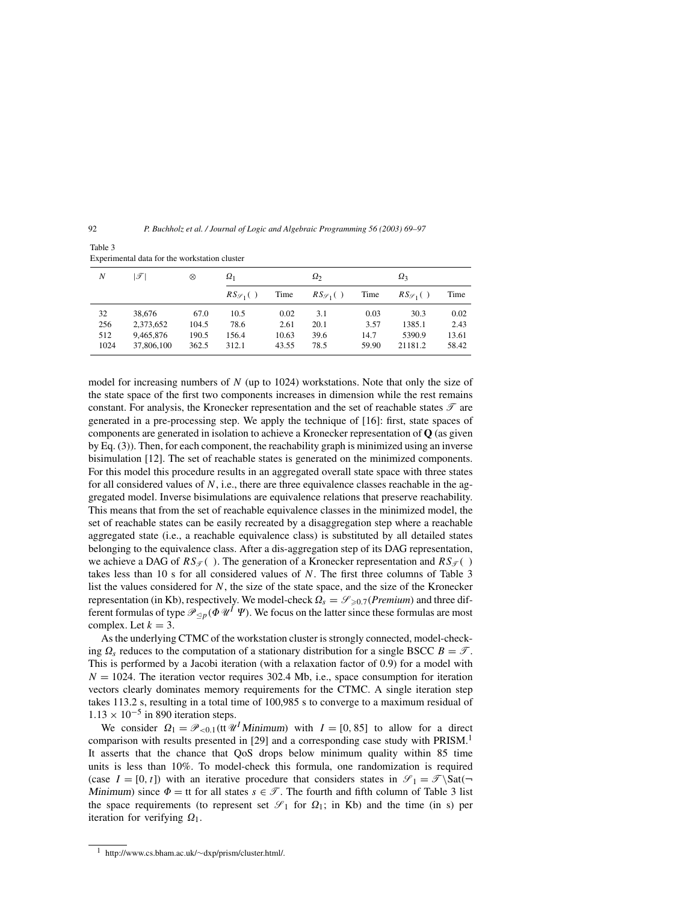92 *P. Buchholz et al. / Journal of Logic and Algebraic Programming 56 (2003) 69–97*

| Experimental data for the workstation cluster |                 |       |                         |       |                         |       |                        |       |
|-----------------------------------------------|-----------------|-------|-------------------------|-------|-------------------------|-------|------------------------|-------|
| N                                             | $ \mathscr{T} $ | ⊗     | $\Omega_1$              |       | $\Omega_2$              |       | $\Omega_3$             |       |
|                                               |                 |       | $RS_{\mathscr{S}_1}($ ) | Time  | $RS_{\mathscr{S}_1}($ ) | Time  | $RS_{\mathscr{S}_1}()$ | Time  |
| 32                                            | 38.676          | 67.0  | 10.5                    | 0.02  | 3.1                     | 0.03  | 30.3                   | 0.02  |
| 256                                           | 2,373,652       | 104.5 | 78.6                    | 2.61  | 20.1                    | 3.57  | 1385.1                 | 2.43  |
| 512                                           | 9.465.876       | 190.5 | 156.4                   | 10.63 | 39.6                    | 14.7  | 5390.9                 | 13.61 |
| 1024                                          | 37,806,100      | 362.5 | 312.1                   | 43.55 | 78.5                    | 59.90 | 21181.2                | 58.42 |

Table 3 Experimental data for the workstation cluster

model for increasing numbers of  $N$  (up to 1024) workstations. Note that only the size of the state space of the first two components increases in dimension while the rest remains constant. For analysis, the Kronecker representation and the set of reachable states  $\mathcal T$  are generated in a pre-processing step. We apply the technique of [16]: first, state spaces of components are generated in isolation to achieve a Kronecker representation of **Q** (as given by Eq. (3)). Then, for each component, the reachability graph is minimized using an inverse bisimulation [12]. The set of reachable states is generated on the minimized components. For this model this procedure results in an aggregated overall state space with three states for all considered values of  $N$ , i.e., there are three equivalence classes reachable in the aggregated model. Inverse bisimulations are equivalence relations that preserve reachability. This means that from the set of reachable equivalence classes in the minimized model, the set of reachable states can be easily recreated by a disaggregation step where a reachable aggregated state (i.e., a reachable equivalence class) is substituted by all detailed states belonging to the equivalence class. After a dis-aggregation step of its DAG representation, we achieve a DAG of  $RS_{\mathcal{T}}($ ). The generation of a Kronecker representation and  $RS_{\mathcal{T}}($ ) takes less than 10 s for all considered values of  $N$ . The first three columns of Table 3 list the values considered for  $N$ , the size of the state space, and the size of the Kronecker representation (in Kb), respectively. We model-check  $\Omega_s = \mathcal{S}_{\geq 0.7}(Premium)$  and three different formulas of type  $\mathcal{P}_{\leq p}(\Phi \mathcal{U}^I \Psi)$ . We focus on the latter since these formulas are most complex. Let  $k = 3$ .

As the underlying CTMC of the workstation cluster is strongly connected, model-checking  $\Omega_s$  reduces to the computation of a stationary distribution for a single BSCC  $B = \mathcal{T}$ . This is performed by a Jacobi iteration (with a relaxation factor of 0.9) for a model with  $N = 1024$ . The iteration vector requires 302.4 Mb, i.e., space consumption for iteration vectors clearly dominates memory requirements for the CTMC. A single iteration step takes 113.2 s, resulting in a total time of 100,985 s to converge to a maximum residual of  $1.13 \times 10^{-5}$  in 890 iteration steps.

We consider  $\Omega_1 = \mathcal{P}_{\leq 0,1}(\text{tr } \mathcal{U}^I \text{ Minimum})$  with  $I = [0, 85]$  to allow for a direct comparison with results presented in [29] and a corresponding case study with PRISM.<sup>1</sup> It asserts that the chance that QoS drops below minimum quality within 85 time units is less than 10%. To model-check this formula, one randomization is required (case  $I = [0, t]$ ) with an iterative procedure that considers states in  $\mathcal{S}_1 = \mathcal{F} \setminus \text{Sat}(\neg)$ Minimum) since  $\Phi =$  tt for all states  $s \in \mathcal{T}$ . The fourth and fifth column of Table 3 list the space requirements (to represent set  $\mathcal{S}_1$  for  $\Omega_1$ ; in Kb) and the time (in s) per iteration for verifying  $\Omega_1$ .

<sup>1</sup> http://www.cs.bham.ac.uk/∼dxp/prism/cluster.html/.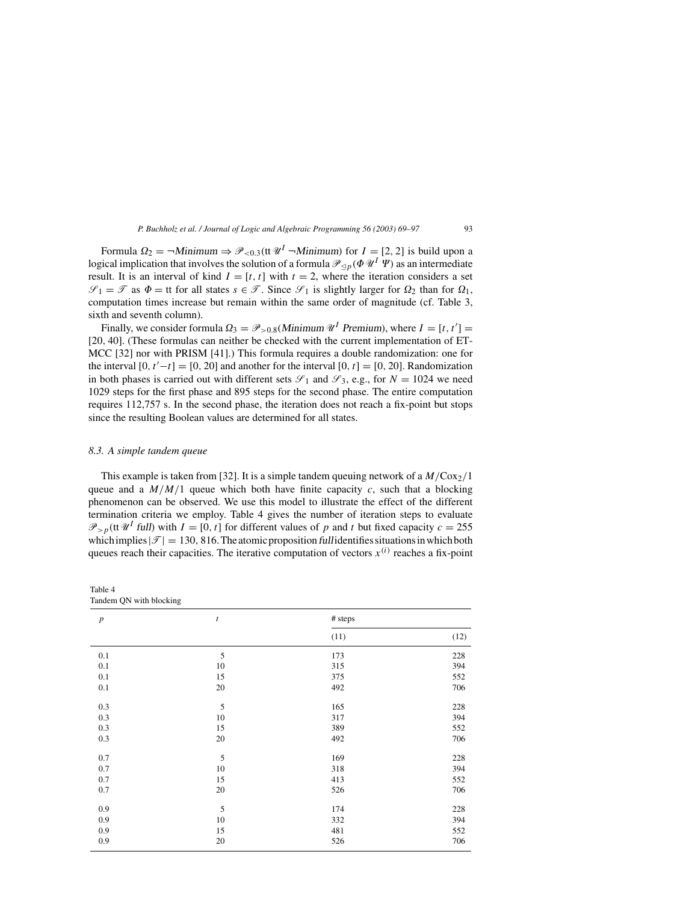Formula  $\Omega_2 = \neg \text{Minimum} \Rightarrow \mathcal{P}_{\leq 0,3}(\text{tt } \mathcal{U}^I - \text{Minimum})$  for  $I = [2, 2]$  is build upon a logical implication that involves the solution of a formula  $\mathcal{P}_{\leq p}(\varPhi\,\mathscr{U}^I\Psi)$  as an intermediate result. It is an interval of kind  $I = [t, t]$  with  $t = 2$ , where the iteration considers a set  $\mathcal{S}_1 = \mathcal{T}$  as  $\Phi =$  tt for all states  $s \in \mathcal{T}$ . Since  $\mathcal{S}_1$  is slightly larger for  $\Omega_2$  than for  $\Omega_1$ , computation times increase but remain within the same order of magnitude (cf. Table 3, sixth and seventh column).

Finally, we consider formula  $\Omega_3 = \mathcal{P}_{>0.8}(Minimum \mathcal{U}^I$  Premium), where  $I = [t, t'] =$ [20, 40]. (These formulas can neither be checked with the current implementation of ET-MCC [32] nor with PRISM [41].) This formula requires a double randomization: one for the interval  $[0, t'-t] = [0, 20]$  and another for the interval  $[0, t] = [0, 20]$ . Randomization in both phases is carried out with different sets  $\mathscr{S}_1$  and  $\mathscr{S}_3$ , e.g., for  $N = 1024$  we need 1029 steps for the first phase and 895 steps for the second phase. The entire computation requires 112,757 s. In the second phase, the iteration does not reach a fix-point but stops since the resulting Boolean values are determined for all states.

## *8.3. A simple tandem queue*

This example is taken from [32]. It is a simple tandem queuing network of a  $M/Cox_2/1$ queue and a  $M/M/1$  queue which both have finite capacity c, such that a blocking phenomenon can be observed. We use this model to illustrate the effect of the different termination criteria we employ. Table 4 gives the number of iteration steps to evaluate  $\mathcal{P}_{>p}$ (tt  $\mathcal{U}^{I}$  full) with  $I = [0, t]$  for different values of p and t but fixed capacity  $c = 255$ which implies  $|\mathcal{T}| = 130, 816$ . The atomic proposition full identifies situations in which both queues reach their capacities. The iterative computation of vectors  $x^{(i)}$  reaches a fix-point

| Table 4                 |  |  |
|-------------------------|--|--|
| Tandem QN with blocking |  |  |

| $\boldsymbol{p}$ | $\boldsymbol{t}$ | # steps |      |  |
|------------------|------------------|---------|------|--|
|                  |                  | (11)    | (12) |  |
| 0.1              | $\sqrt{5}$       | 173     | 228  |  |
| 0.1              | 10               | 315     | 394  |  |
| 0.1              | 15               | 375     | 552  |  |
| 0.1              | $20\,$           | 492     | 706  |  |
| 0.3              | $\sqrt{5}$       | 165     | 228  |  |
| 0.3              | $10\,$           | 317     | 394  |  |
| 0.3              | 15               | 389     | 552  |  |
| 0.3              | 20               | 492     | 706  |  |
| 0.7              | $\sqrt{5}$       | 169     | 228  |  |
| 0.7              | $10\,$           | 318     | 394  |  |
| 0.7              | 15               | 413     | 552  |  |
| 0.7              | 20               | 526     | 706  |  |
| 0.9              | $\sqrt{5}$       | 174     | 228  |  |
| 0.9              | 10               | 332     | 394  |  |
| 0.9              | 15               | 481     | 552  |  |
| 0.9              | 20               | 526     | 706  |  |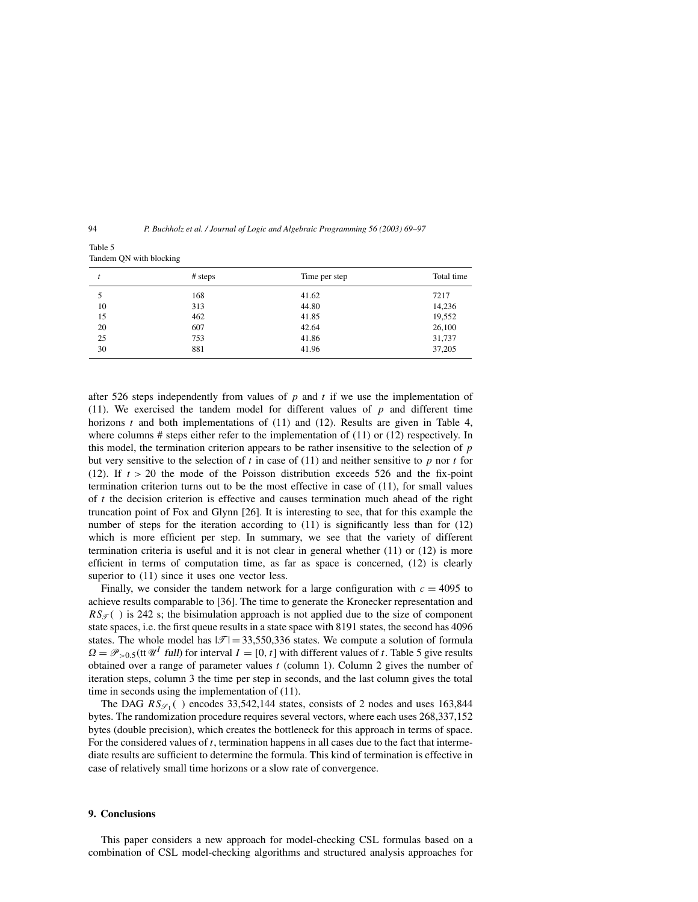94 *P. Buchholz et al. / Journal of Logic and Algebraic Programming 56 (2003) 69–97*

Table 5 Tandem QN with blocking

|    | # steps | Time per step | Total time |
|----|---------|---------------|------------|
|    | 168     | 41.62         | 7217       |
| 10 | 313     | 44.80         | 14,236     |
| 15 | 462     | 41.85         | 19,552     |
| 20 | 607     | 42.64         | 26,100     |
| 25 | 753     | 41.86         | 31,737     |
| 30 | 881     | 41.96         | 37,205     |

after 526 steps independently from values of p and t if we use the implementation of (11). We exercised the tandem model for different values of  $p$  and different time horizons  $t$  and both implementations of (11) and (12). Results are given in Table 4, where columns  $\#$  steps either refer to the implementation of (11) or (12) respectively. In this model, the termination criterion appears to be rather insensitive to the selection of  $p$ but very sensitive to the selection of t in case of  $(11)$  and neither sensitive to p nor t for (12). If  $t > 20$  the mode of the Poisson distribution exceeds 526 and the fix-point termination criterion turns out to be the most effective in case of (11), for small values of  $t$  the decision criterion is effective and causes termination much ahead of the right truncation point of Fox and Glynn [26]. It is interesting to see, that for this example the number of steps for the iteration according to (11) is significantly less than for (12) which is more efficient per step. In summary, we see that the variety of different termination criteria is useful and it is not clear in general whether (11) or (12) is more efficient in terms of computation time, as far as space is concerned, (12) is clearly superior to  $(11)$  since it uses one vector less.

Finally, we consider the tandem network for a large configuration with  $c = 4095$  to achieve results comparable to [36]. The time to generate the Kronecker representation and  $RS_{\mathcal{F}}($  ) is 242 s; the bisimulation approach is not applied due to the size of component state spaces, i.e. the first queue results in a state space with 8191 states, the second has 4096 states. The whole model has  $|\mathcal{T}| = 33,550,336$  states. We compute a solution of formula  $\Omega = \mathcal{P}_{>0.5}$ (tt  $\mathcal{U}^I$  full) for interval  $I = [0, t]$  with different values of t. Table 5 give results obtained over a range of parameter values  $t$  (column 1). Column 2 gives the number of iteration steps, column 3 the time per step in seconds, and the last column gives the total time in seconds using the implementation of (11).

The DAG  $RS_{\mathscr{S}_1}$  ( ) encodes 33,542,144 states, consists of 2 nodes and uses 163,844 bytes. The randomization procedure requires several vectors, where each uses 268,337,152 bytes (double precision), which creates the bottleneck for this approach in terms of space. For the considered values of  $t$ , termination happens in all cases due to the fact that intermediate results are sufficient to determine the formula. This kind of termination is effective in case of relatively small time horizons or a slow rate of convergence.

## **9. Conclusions**

This paper considers a new approach for model-checking CSL formulas based on a combination of CSL model-checking algorithms and structured analysis approaches for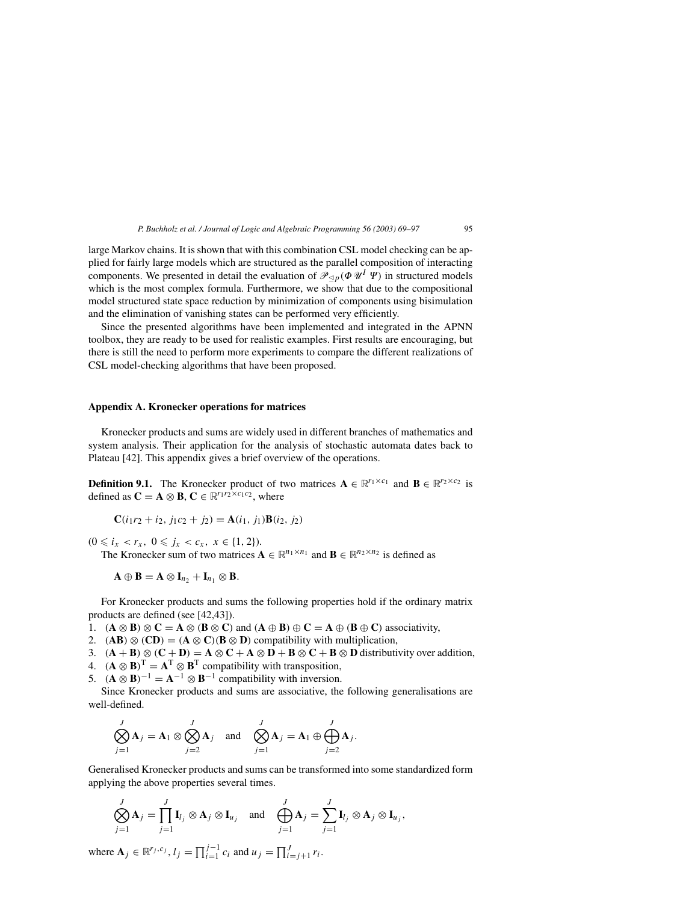large Markov chains. It is shown that with this combination CSL model checking can be applied for fairly large models which are structured as the parallel composition of interacting components. We presented in detail the evaluation of  $\mathscr{P}_{\leq p}(\Phi \mathscr{U}^I \Psi)$  in structured models which is the most complex formula. Furthermore, we show that due to the compositional model structured state space reduction by minimization of components using bisimulation and the elimination of vanishing states can be performed very efficiently.

Since the presented algorithms have been implemented and integrated in the APNN toolbox, they are ready to be used for realistic examples. First results are encouraging, but there is still the need to perform more experiments to compare the different realizations of CSL model-checking algorithms that have been proposed.

## **Appendix A. Kronecker operations for matrices**

Kronecker products and sums are widely used in different branches of mathematics and system analysis. Their application for the analysis of stochastic automata dates back to Plateau [42]. This appendix gives a brief overview of the operations.

**Definition 9.1.** The Kronecker product of two matrices  $A \in \mathbb{R}^{r_1 \times c_1}$  and  $B \in \mathbb{R}^{r_2 \times c_2}$  is defined as  $C = A \otimes B$ ,  $C \in \mathbb{R}^{r_1 r_2 \times c_1 c_2}$ , where

$$
\mathbf{C}(i_1r_2 + i_2, j_1c_2 + j_2) = \mathbf{A}(i_1, j_1)\mathbf{B}(i_2, j_2)
$$

 $(0 \leq i_x < r_x, \ 0 \leq j_x < c_x, \ x \in \{1, 2\}).$ 

The Kronecker sum of two matrices  $A \in \mathbb{R}^{n_1 \times n_1}$  and  $B \in \mathbb{R}^{n_2 \times n_2}$  is defined as

$$
\mathbf{A}\oplus\mathbf{B}=\mathbf{A}\otimes\mathbf{I}_{n_2}+\mathbf{I}_{n_1}\otimes\mathbf{B}.
$$

For Kronecker products and sums the following properties hold if the ordinary matrix products are defined (see [42,43]).

1.  $(A \otimes B) \otimes C = A \otimes (B \otimes C)$  and  $(A \oplus B) \oplus C = A \oplus (B \oplus C)$  associativity,

2. (AB)  $\otimes$  (CD) = ( $\mathbf{A} \otimes \mathbf{C}$ )( $\mathbf{B} \otimes \mathbf{D}$ ) compatibility with multiplication,

3.  $(A + B) \otimes (C + D) = A \otimes C + A \otimes D + B \otimes C + B \otimes D$  distributivity over addition,

4.  $(\mathbf{A} \otimes \mathbf{B})^{\mathrm{T}} = \mathbf{A}^{\mathrm{T}} \otimes \mathbf{B}^{\mathrm{T}}$  compatibility with transposition,

5.  $(\mathbf{A} \otimes \mathbf{B})^{-1} = \mathbf{A}^{-1} \otimes \mathbf{B}^{-1}$  compatibility with inversion.

Since Kronecker products and sums are associative, the following generalisations are well-defined.

$$
\bigotimes_{j=1}^{J} \mathbf{A}_{j} = \mathbf{A}_{1} \otimes \bigotimes_{j=2}^{J} \mathbf{A}_{j} \text{ and } \bigotimes_{j=1}^{J} \mathbf{A}_{j} = \mathbf{A}_{1} \oplus \bigoplus_{j=2}^{J} \mathbf{A}_{j}.
$$

Generalised Kronecker products and sums can be transformed into some standardized form applying the above properties several times.

$$
\bigotimes_{j=1}^{J} \mathbf{A}_{j} = \prod_{j=1}^{J} \mathbf{I}_{l_{j}} \otimes \mathbf{A}_{j} \otimes \mathbf{I}_{u_{j}} \text{ and } \bigoplus_{j=1}^{J} \mathbf{A}_{j} = \sum_{j=1}^{J} \mathbf{I}_{l_{j}} \otimes \mathbf{A}_{j} \otimes \mathbf{I}_{u_{j}},
$$

where  $A_j \in \mathbb{R}^{r_j, c_j}, l_j = \prod_{i=1}^{j-1} c_i$  and  $u_j = \prod_{i=j+1}^{J} r_i$ .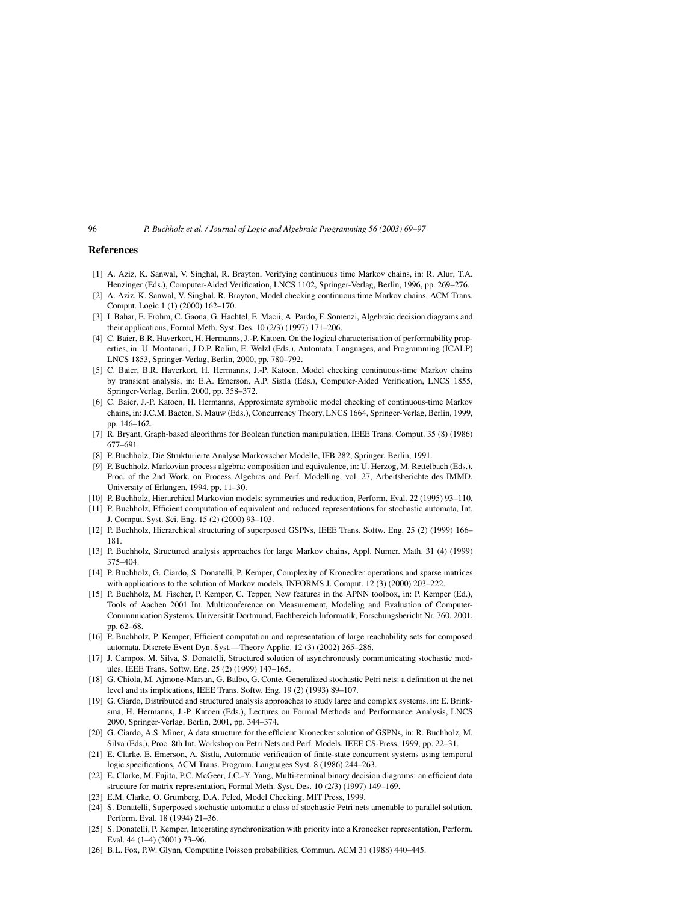## **References**

- [1] A. Aziz, K. Sanwal, V. Singhal, R. Brayton, Verifying continuous time Markov chains, in: R. Alur, T.A. Henzinger (Eds.), Computer-Aided Verification, LNCS 1102, Springer-Verlag, Berlin, 1996, pp. 269–276.
- [2] A. Aziz, K. Sanwal, V. Singhal, R. Brayton, Model checking continuous time Markov chains, ACM Trans. Comput. Logic 1 (1) (2000) 162–170.
- [3] I. Bahar, E. Frohm, C. Gaona, G. Hachtel, E. Macii, A. Pardo, F. Somenzi, Algebraic decision diagrams and their applications, Formal Meth. Syst. Des. 10 (2/3) (1997) 171–206.
- [4] C. Baier, B.R. Haverkort, H. Hermanns, J.-P. Katoen, On the logical characterisation of performability properties, in: U. Montanari, J.D.P. Rolim, E. Welzl (Eds.), Automata, Languages, and Programming (ICALP) LNCS 1853, Springer-Verlag, Berlin, 2000, pp. 780–792.
- [5] C. Baier, B.R. Haverkort, H. Hermanns, J.-P. Katoen, Model checking continuous-time Markov chains by transient analysis, in: E.A. Emerson, A.P. Sistla (Eds.), Computer-Aided Verification, LNCS 1855, Springer-Verlag, Berlin, 2000, pp. 358–372.
- [6] C. Baier, J.-P. Katoen, H. Hermanns, Approximate symbolic model checking of continuous-time Markov chains, in: J.C.M. Baeten, S. Mauw (Eds.), Concurrency Theory, LNCS 1664, Springer-Verlag, Berlin, 1999, pp. 146–162.
- [7] R. Bryant, Graph-based algorithms for Boolean function manipulation, IEEE Trans. Comput. 35 (8) (1986) 677–691.
- [8] P. Buchholz, Die Strukturierte Analyse Markovscher Modelle, IFB 282, Springer, Berlin, 1991.
- [9] P. Buchholz, Markovian process algebra: composition and equivalence, in: U. Herzog, M. Rettelbach (Eds.), Proc. of the 2nd Work. on Process Algebras and Perf. Modelling, vol. 27, Arbeitsberichte des IMMD, University of Erlangen, 1994, pp. 11–30.
- [10] P. Buchholz, Hierarchical Markovian models: symmetries and reduction, Perform. Eval. 22 (1995) 93–110.
- [11] P. Buchholz, Efficient computation of equivalent and reduced representations for stochastic automata, Int. J. Comput. Syst. Sci. Eng. 15 (2) (2000) 93–103.
- [12] P. Buchholz, Hierarchical structuring of superposed GSPNs, IEEE Trans. Softw. Eng. 25 (2) (1999) 166-181.
- [13] P. Buchholz, Structured analysis approaches for large Markov chains, Appl. Numer. Math. 31 (4) (1999) 375–404.
- [14] P. Buchholz, G. Ciardo, S. Donatelli, P. Kemper, Complexity of Kronecker operations and sparse matrices with applications to the solution of Markov models, INFORMS J. Comput. 12 (3) (2000) 203-222.
- [15] P. Buchholz, M. Fischer, P. Kemper, C. Tepper, New features in the APNN toolbox, in: P. Kemper (Ed.), Tools of Aachen 2001 Int. Multiconference on Measurement, Modeling and Evaluation of Computer-Communication Systems, Universität Dortmund, Fachbereich Informatik, Forschungsbericht Nr. 760, 2001, pp. 62–68.
- [16] P. Buchholz, P. Kemper, Efficient computation and representation of large reachability sets for composed automata, Discrete Event Dyn. Syst.––Theory Applic. 12 (3) (2002) 265–286.
- [17] J. Campos, M. Silva, S. Donatelli, Structured solution of asynchronously communicating stochastic modules, IEEE Trans. Softw. Eng. 25 (2) (1999) 147–165.
- [18] G. Chiola, M. Ajmone-Marsan, G. Balbo, G. Conte, Generalized stochastic Petri nets: a definition at the net level and its implications, IEEE Trans. Softw. Eng. 19 (2) (1993) 89–107.
- [19] G. Ciardo, Distributed and structured analysis approaches to study large and complex systems, in: E. Brinksma, H. Hermanns, J.-P. Katoen (Eds.), Lectures on Formal Methods and Performance Analysis, LNCS 2090, Springer-Verlag, Berlin, 2001, pp. 344–374.
- [20] G. Ciardo, A.S. Miner, A data structure for the efficient Kronecker solution of GSPNs, in: R. Buchholz, M. Silva (Eds.), Proc. 8th Int. Workshop on Petri Nets and Perf. Models, IEEE CS-Press, 1999, pp. 22–31.
- [21] E. Clarke, E. Emerson, A. Sistla, Automatic verification of finite-state concurrent systems using temporal logic specifications, ACM Trans. Program. Languages Syst. 8 (1986) 244–263.
- [22] E. Clarke, M. Fujita, P.C. McGeer, J.C.-Y. Yang, Multi-terminal binary decision diagrams: an efficient data structure for matrix representation, Formal Meth. Syst. Des. 10 (2/3) (1997) 149–169.
- [23] E.M. Clarke, O. Grumberg, D.A. Peled, Model Checking, MIT Press, 1999.
- [24] S. Donatelli, Superposed stochastic automata: a class of stochastic Petri nets amenable to parallel solution, Perform. Eval. 18 (1994) 21–36.
- [25] S. Donatelli, P. Kemper, Integrating synchronization with priority into a Kronecker representation, Perform. Eval. 44 (1–4) (2001) 73–96.
- [26] B.L. Fox, P.W. Glynn, Computing Poisson probabilities, Commun. ACM 31 (1988) 440–445.